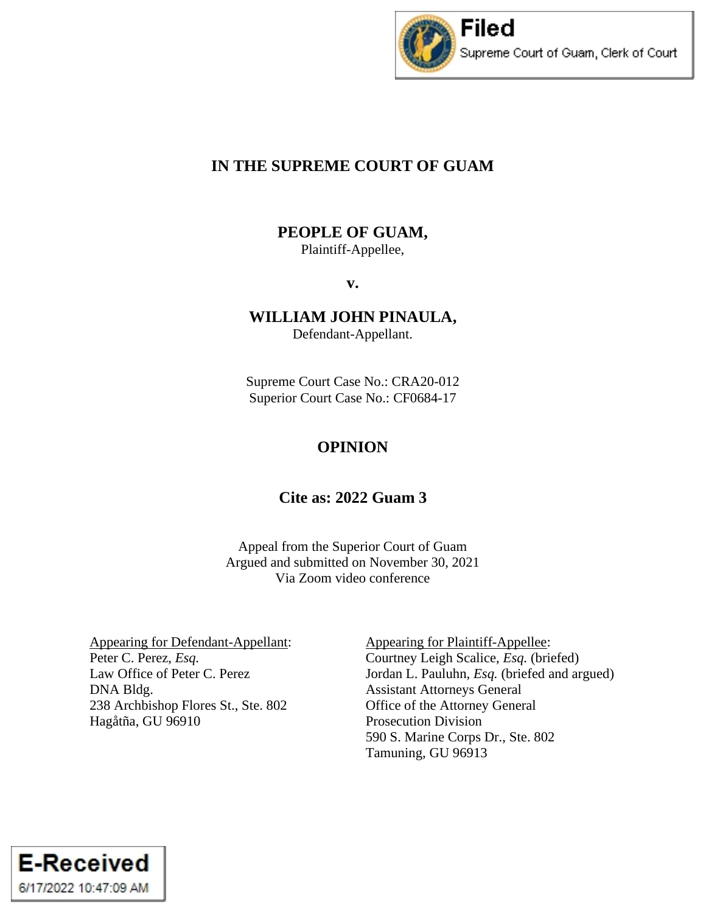

# **IN THE SUPREME COURT OF GUAM**

# **PEOPLE OF GUAM,**

Plaintiff-Appellee,

**v.**

# **WILLIAM JOHN PINAULA,**

Defendant-Appellant.

Supreme Court Case No.: CRA20-012 Superior Court Case No.: CF0684-17

# **OPINION**

# **Cite as: 2022 Guam 3**

Appeal from the Superior Court of Guam Argued and submitted on November 30, 2021 Via Zoom video conference

Appearing for Defendant-Appellant: Peter C. Perez, *Esq.* Law Office of Peter C. Perez DNA Bldg. 238 Archbishop Flores St., Ste. 802 Hagåtña, GU 96910

Appearing for Plaintiff-Appellee: Courtney Leigh Scalice, *Esq.* (briefed) Jordan L. Pauluhn, *Esq.* (briefed and argued) Assistant Attorneys General Office of the Attorney General Prosecution Division 590 S. Marine Corps Dr., Ste. 802 Tamuning, GU 96913

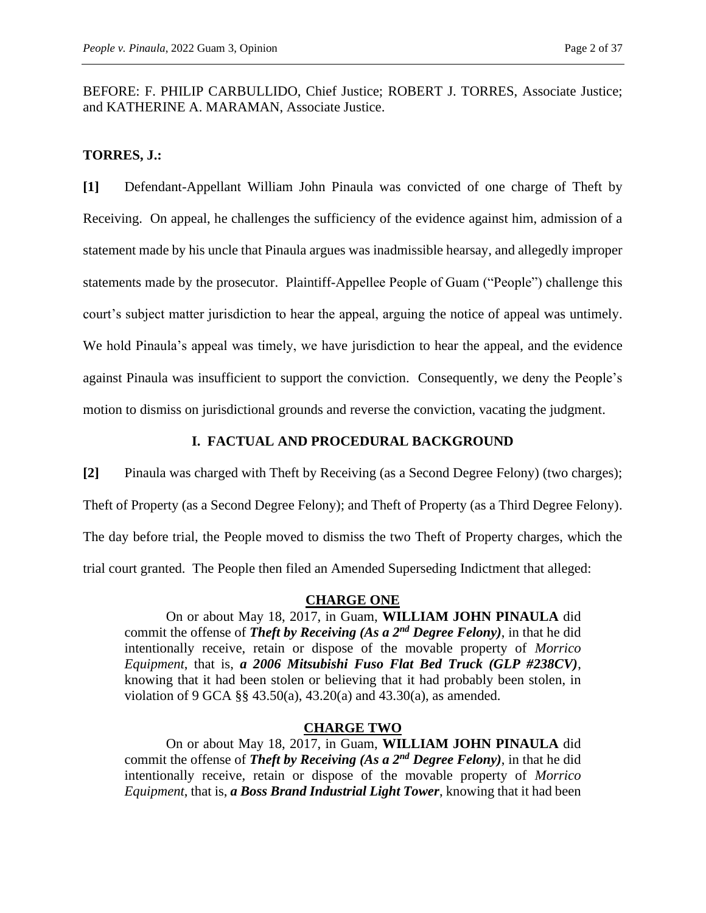BEFORE: F. PHILIP CARBULLIDO, Chief Justice; ROBERT J. TORRES, Associate Justice; and KATHERINE A. MARAMAN, Associate Justice.

### **TORRES, J.:**

**[1]** Defendant-Appellant William John Pinaula was convicted of one charge of Theft by Receiving. On appeal, he challenges the sufficiency of the evidence against him, admission of a statement made by his uncle that Pinaula argues was inadmissible hearsay, and allegedly improper statements made by the prosecutor. Plaintiff-Appellee People of Guam ("People") challenge this court's subject matter jurisdiction to hear the appeal, arguing the notice of appeal was untimely. We hold Pinaula's appeal was timely, we have jurisdiction to hear the appeal, and the evidence against Pinaula was insufficient to support the conviction. Consequently, we deny the People's motion to dismiss on jurisdictional grounds and reverse the conviction, vacating the judgment.

### **I. FACTUAL AND PROCEDURAL BACKGROUND**

**[2]** Pinaula was charged with Theft by Receiving (as a Second Degree Felony) (two charges);

Theft of Property (as a Second Degree Felony); and Theft of Property (as a Third Degree Felony).

The day before trial, the People moved to dismiss the two Theft of Property charges, which the

trial court granted. The People then filed an Amended Superseding Indictment that alleged:

#### **CHARGE ONE**

On or about May 18, 2017, in Guam, **WILLIAM JOHN PINAULA** did commit the offense of *Theft by Receiving (As a 2nd Degree Felony)*, in that he did intentionally receive, retain or dispose of the movable property of *Morrico Equipment*, that is, *a 2006 Mitsubishi Fuso Flat Bed Truck (GLP #238CV)*, knowing that it had been stolen or believing that it had probably been stolen, in violation of 9 GCA §§ 43.50(a), 43.20(a) and 43.30(a), as amended.

#### **CHARGE TWO**

On or about May 18, 2017, in Guam, **WILLIAM JOHN PINAULA** did commit the offense of *Theft by Receiving (As a 2nd Degree Felony)*, in that he did intentionally receive, retain or dispose of the movable property of *Morrico Equipment*, that is, *a Boss Brand Industrial Light Tower*, knowing that it had been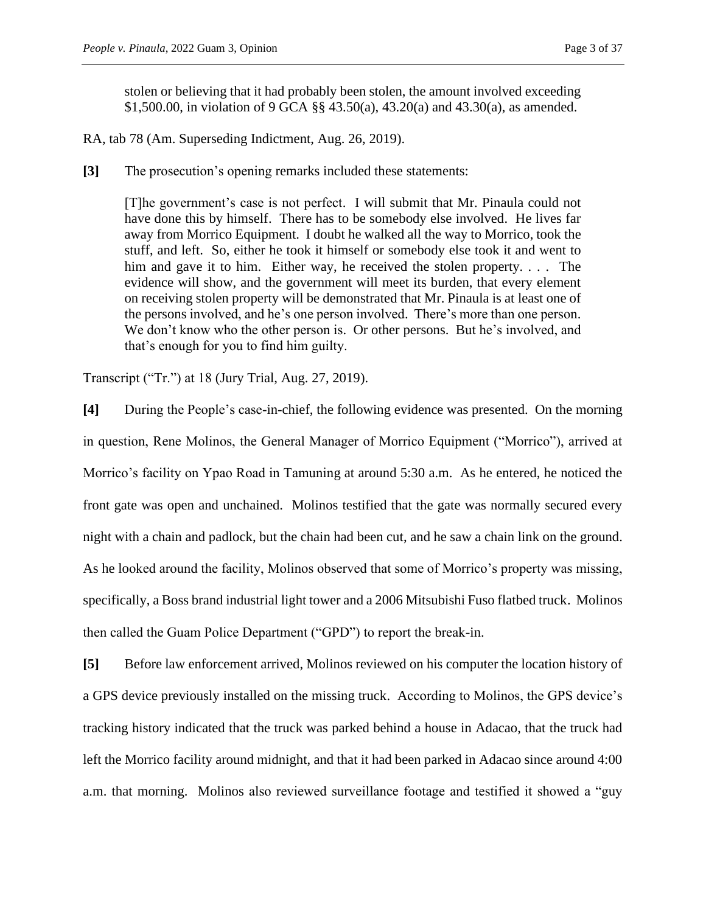stolen or believing that it had probably been stolen, the amount involved exceeding \$1,500.00, in violation of 9 GCA §§ 43.50(a), 43.20(a) and 43.30(a), as amended.

RA, tab 78 (Am. Superseding Indictment, Aug. 26, 2019).

**[3]** The prosecution's opening remarks included these statements:

[T]he government's case is not perfect. I will submit that Mr. Pinaula could not have done this by himself. There has to be somebody else involved. He lives far away from Morrico Equipment. I doubt he walked all the way to Morrico, took the stuff, and left. So, either he took it himself or somebody else took it and went to him and gave it to him. Either way, he received the stolen property.... The evidence will show, and the government will meet its burden, that every element on receiving stolen property will be demonstrated that Mr. Pinaula is at least one of the persons involved, and he's one person involved. There's more than one person. We don't know who the other person is. Or other persons. But he's involved, and that's enough for you to find him guilty.

Transcript ("Tr.") at 18 (Jury Trial, Aug. 27, 2019).

**[4]** During the People's case-in-chief, the following evidence was presented. On the morning in question, Rene Molinos, the General Manager of Morrico Equipment ("Morrico"), arrived at Morrico's facility on Ypao Road in Tamuning at around 5:30 a.m. As he entered, he noticed the front gate was open and unchained. Molinos testified that the gate was normally secured every night with a chain and padlock, but the chain had been cut, and he saw a chain link on the ground. As he looked around the facility, Molinos observed that some of Morrico's property was missing, specifically, a Boss brand industrial light tower and a 2006 Mitsubishi Fuso flatbed truck. Molinos then called the Guam Police Department ("GPD") to report the break-in.

**[5]** Before law enforcement arrived, Molinos reviewed on his computer the location history of a GPS device previously installed on the missing truck. According to Molinos, the GPS device's tracking history indicated that the truck was parked behind a house in Adacao, that the truck had left the Morrico facility around midnight, and that it had been parked in Adacao since around 4:00 a.m. that morning. Molinos also reviewed surveillance footage and testified it showed a "guy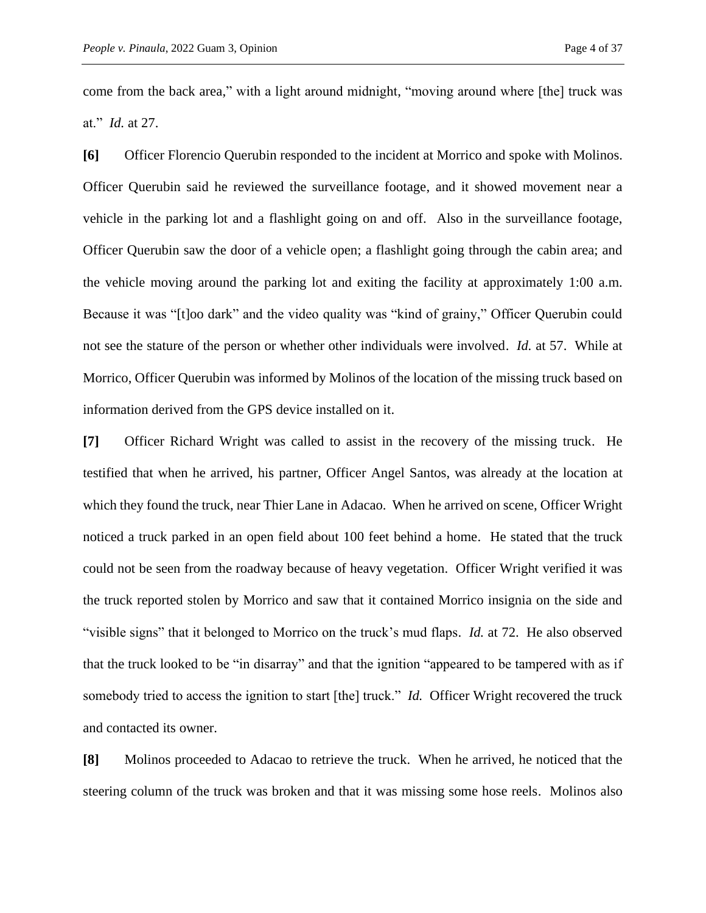come from the back area," with a light around midnight, "moving around where [the] truck was at." *Id.* at 27.

**[6]** Officer Florencio Querubin responded to the incident at Morrico and spoke with Molinos. Officer Querubin said he reviewed the surveillance footage, and it showed movement near a vehicle in the parking lot and a flashlight going on and off. Also in the surveillance footage, Officer Querubin saw the door of a vehicle open; a flashlight going through the cabin area; and the vehicle moving around the parking lot and exiting the facility at approximately 1:00 a.m. Because it was "[t]oo dark" and the video quality was "kind of grainy," Officer Querubin could not see the stature of the person or whether other individuals were involved. *Id.* at 57. While at Morrico, Officer Querubin was informed by Molinos of the location of the missing truck based on information derived from the GPS device installed on it.

**[7]** Officer Richard Wright was called to assist in the recovery of the missing truck. He testified that when he arrived, his partner, Officer Angel Santos, was already at the location at which they found the truck, near Thier Lane in Adacao. When he arrived on scene, Officer Wright noticed a truck parked in an open field about 100 feet behind a home. He stated that the truck could not be seen from the roadway because of heavy vegetation. Officer Wright verified it was the truck reported stolen by Morrico and saw that it contained Morrico insignia on the side and "visible signs" that it belonged to Morrico on the truck's mud flaps. *Id.* at 72. He also observed that the truck looked to be "in disarray" and that the ignition "appeared to be tampered with as if somebody tried to access the ignition to start [the] truck." *Id.* Officer Wright recovered the truck and contacted its owner.

**[8]** Molinos proceeded to Adacao to retrieve the truck. When he arrived, he noticed that the steering column of the truck was broken and that it was missing some hose reels. Molinos also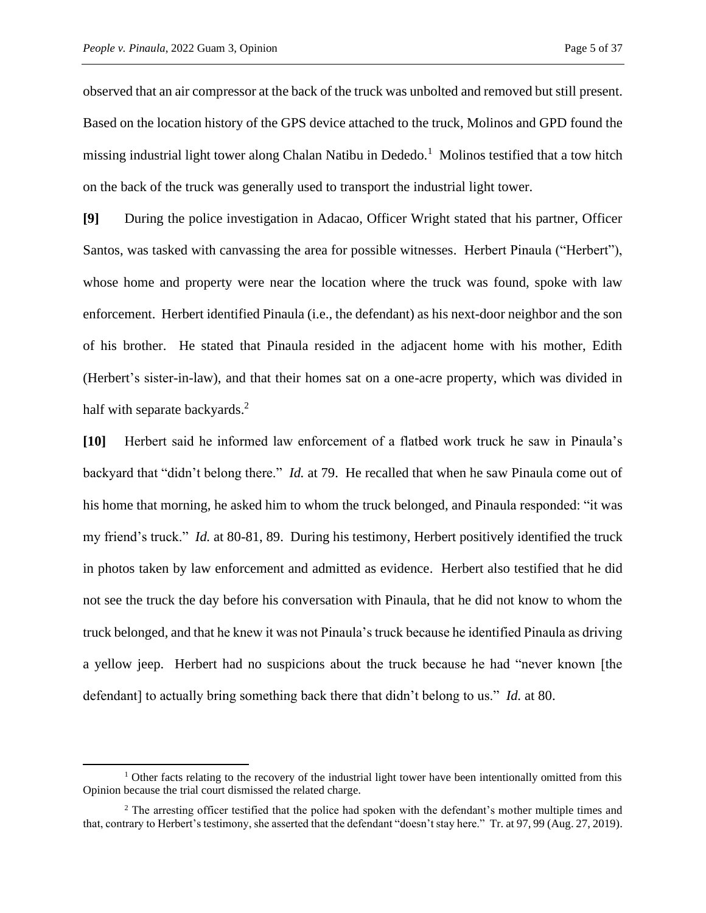observed that an air compressor at the back of the truck was unbolted and removed but still present. Based on the location history of the GPS device attached to the truck, Molinos and GPD found the missing industrial light tower along Chalan Natibu in Dededo.<sup>1</sup> Molinos testified that a tow hitch on the back of the truck was generally used to transport the industrial light tower.

**[9]** During the police investigation in Adacao, Officer Wright stated that his partner, Officer Santos, was tasked with canvassing the area for possible witnesses. Herbert Pinaula ("Herbert"), whose home and property were near the location where the truck was found, spoke with law enforcement. Herbert identified Pinaula (i.e., the defendant) as his next-door neighbor and the son of his brother. He stated that Pinaula resided in the adjacent home with his mother, Edith (Herbert's sister-in-law), and that their homes sat on a one-acre property, which was divided in half with separate backyards.<sup>2</sup>

**[10]** Herbert said he informed law enforcement of a flatbed work truck he saw in Pinaula's backyard that "didn't belong there." *Id.* at 79. He recalled that when he saw Pinaula come out of his home that morning, he asked him to whom the truck belonged, and Pinaula responded: "it was my friend's truck." *Id.* at 80-81, 89. During his testimony, Herbert positively identified the truck in photos taken by law enforcement and admitted as evidence. Herbert also testified that he did not see the truck the day before his conversation with Pinaula, that he did not know to whom the truck belonged, and that he knew it was not Pinaula's truck because he identified Pinaula as driving a yellow jeep. Herbert had no suspicions about the truck because he had "never known [the defendant] to actually bring something back there that didn't belong to us." *Id.* at 80.

 $1$  Other facts relating to the recovery of the industrial light tower have been intentionally omitted from this Opinion because the trial court dismissed the related charge.

<sup>&</sup>lt;sup>2</sup> The arresting officer testified that the police had spoken with the defendant's mother multiple times and that, contrary to Herbert's testimony, she asserted that the defendant "doesn't stay here." Tr. at 97, 99 (Aug. 27, 2019).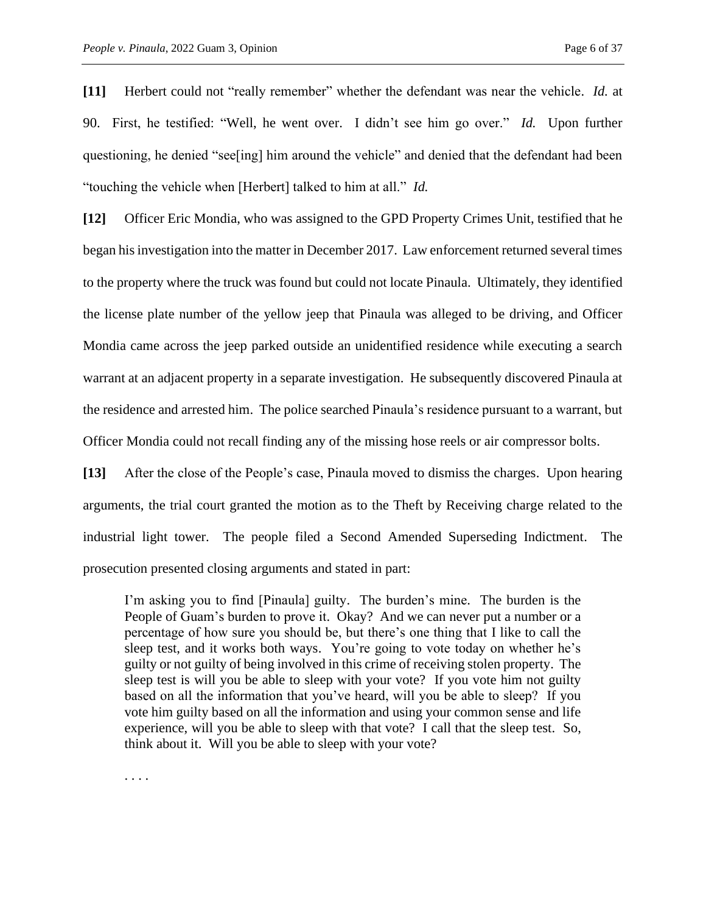**[11]** Herbert could not "really remember" whether the defendant was near the vehicle. *Id.* at 90. First, he testified: "Well, he went over. I didn't see him go over." *Id.* Upon further questioning, he denied "see[ing] him around the vehicle" and denied that the defendant had been "touching the vehicle when [Herbert] talked to him at all." *Id.* 

**[12]** Officer Eric Mondia, who was assigned to the GPD Property Crimes Unit, testified that he began his investigation into the matter in December 2017. Law enforcement returned several times to the property where the truck was found but could not locate Pinaula. Ultimately, they identified the license plate number of the yellow jeep that Pinaula was alleged to be driving, and Officer Mondia came across the jeep parked outside an unidentified residence while executing a search warrant at an adjacent property in a separate investigation. He subsequently discovered Pinaula at the residence and arrested him. The police searched Pinaula's residence pursuant to a warrant, but Officer Mondia could not recall finding any of the missing hose reels or air compressor bolts.

**[13]** After the close of the People's case, Pinaula moved to dismiss the charges. Upon hearing arguments, the trial court granted the motion as to the Theft by Receiving charge related to the industrial light tower. The people filed a Second Amended Superseding Indictment. The prosecution presented closing arguments and stated in part:

I'm asking you to find [Pinaula] guilty. The burden's mine. The burden is the People of Guam's burden to prove it. Okay? And we can never put a number or a percentage of how sure you should be, but there's one thing that I like to call the sleep test, and it works both ways. You're going to vote today on whether he's guilty or not guilty of being involved in this crime of receiving stolen property. The sleep test is will you be able to sleep with your vote? If you vote him not guilty based on all the information that you've heard, will you be able to sleep? If you vote him guilty based on all the information and using your common sense and life experience, will you be able to sleep with that vote? I call that the sleep test. So, think about it. Will you be able to sleep with your vote?

. . . .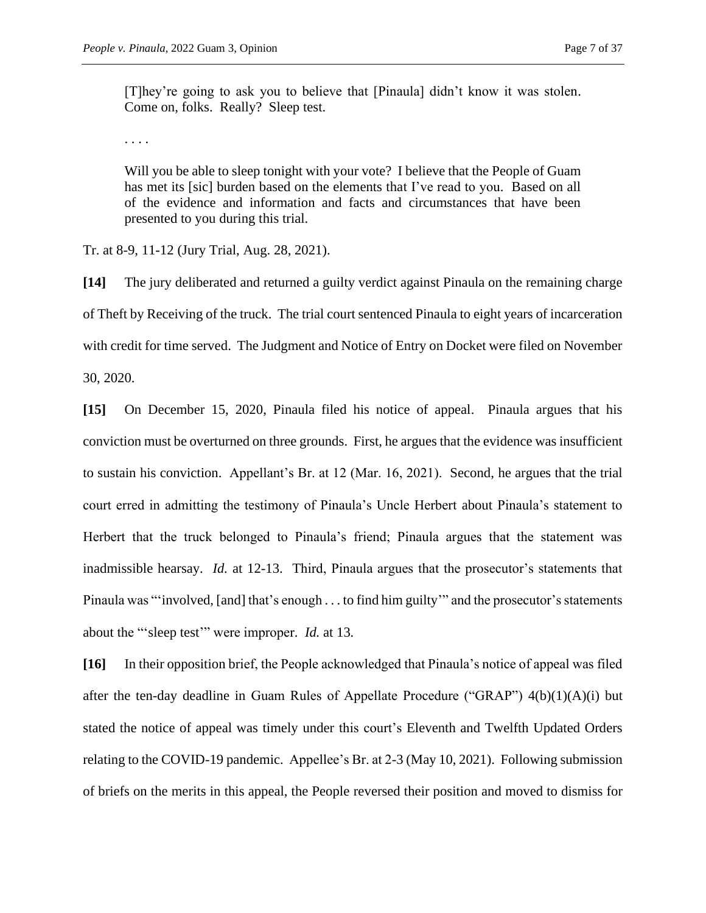[T]hey're going to ask you to believe that [Pinaula] didn't know it was stolen. Come on, folks. Really? Sleep test.

. . . .

Will you be able to sleep tonight with your vote? I believe that the People of Guam has met its [sic] burden based on the elements that I've read to you. Based on all of the evidence and information and facts and circumstances that have been presented to you during this trial.

Tr. at 8-9, 11-12 (Jury Trial, Aug. 28, 2021).

**[14]** The jury deliberated and returned a guilty verdict against Pinaula on the remaining charge of Theft by Receiving of the truck. The trial court sentenced Pinaula to eight years of incarceration with credit for time served. The Judgment and Notice of Entry on Docket were filed on November 30, 2020.

**[15]** On December 15, 2020, Pinaula filed his notice of appeal. Pinaula argues that his conviction must be overturned on three grounds. First, he argues that the evidence was insufficient to sustain his conviction. Appellant's Br. at 12 (Mar. 16, 2021). Second, he argues that the trial court erred in admitting the testimony of Pinaula's Uncle Herbert about Pinaula's statement to Herbert that the truck belonged to Pinaula's friend; Pinaula argues that the statement was inadmissible hearsay. *Id.* at 12-13. Third, Pinaula argues that the prosecutor's statements that Pinaula was "'involved, [and] that's enough . . . to find him guilty'" and the prosecutor's statements about the "'sleep test'" were improper. *Id.* at 13*.* 

**[16]** In their opposition brief, the People acknowledged that Pinaula's notice of appeal was filed after the ten-day deadline in Guam Rules of Appellate Procedure ("GRAP") 4(b)(1)(A)(i) but stated the notice of appeal was timely under this court's Eleventh and Twelfth Updated Orders relating to the COVID-19 pandemic. Appellee's Br. at 2-3 (May 10, 2021). Following submission of briefs on the merits in this appeal, the People reversed their position and moved to dismiss for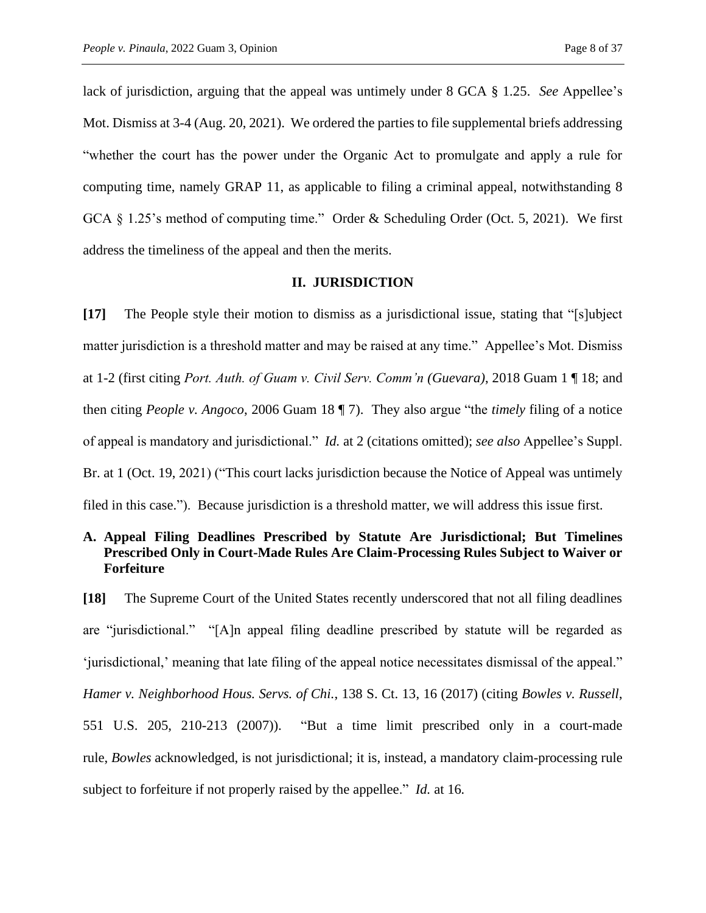lack of jurisdiction, arguing that the appeal was untimely under 8 GCA § 1.25. *See* Appellee's Mot. Dismiss at 3-4 (Aug. 20, 2021). We ordered the parties to file supplemental briefs addressing "whether the court has the power under the Organic Act to promulgate and apply a rule for computing time, namely GRAP 11, as applicable to filing a criminal appeal, notwithstanding 8 GCA § 1.25's method of computing time." Order & Scheduling Order (Oct. 5, 2021). We first address the timeliness of the appeal and then the merits.

### **II. JURISDICTION**

**[17]** The People style their motion to dismiss as a jurisdictional issue, stating that "[s]ubject matter jurisdiction is a threshold matter and may be raised at any time." Appellee's Mot. Dismiss at 1-2 (first citing *Port. Auth. of Guam v. Civil Serv. Comm'n (Guevara)*, 2018 Guam 1 ¶ 18; and then citing *People v. Angoco*, 2006 Guam 18 ¶ 7). They also argue "the *timely* filing of a notice of appeal is mandatory and jurisdictional." *Id.* at 2 (citations omitted); *see also* Appellee's Suppl. Br. at 1 (Oct. 19, 2021) ("This court lacks jurisdiction because the Notice of Appeal was untimely filed in this case."). Because jurisdiction is a threshold matter, we will address this issue first.

# **A. Appeal Filing Deadlines Prescribed by Statute Are Jurisdictional; But Timelines Prescribed Only in Court-Made Rules Are Claim-Processing Rules Subject to Waiver or Forfeiture**

**[18]** The Supreme Court of the United States recently underscored that not all filing deadlines are "jurisdictional." "[A]n appeal filing deadline prescribed by statute will be regarded as 'jurisdictional,' meaning that late filing of the appeal notice necessitates dismissal of the appeal." *Hamer v. Neighborhood Hous. Servs. of Chi.*, 138 S. Ct. 13, 16 (2017) (citing *Bowles v. Russell*, 551 U.S. 205, 210-213 (2007)). "But a time limit prescribed only in a court-made rule, *Bowles* acknowledged, is not jurisdictional; it is, instead, a mandatory claim-processing rule subject to forfeiture if not properly raised by the appellee." *Id.* at 16*.*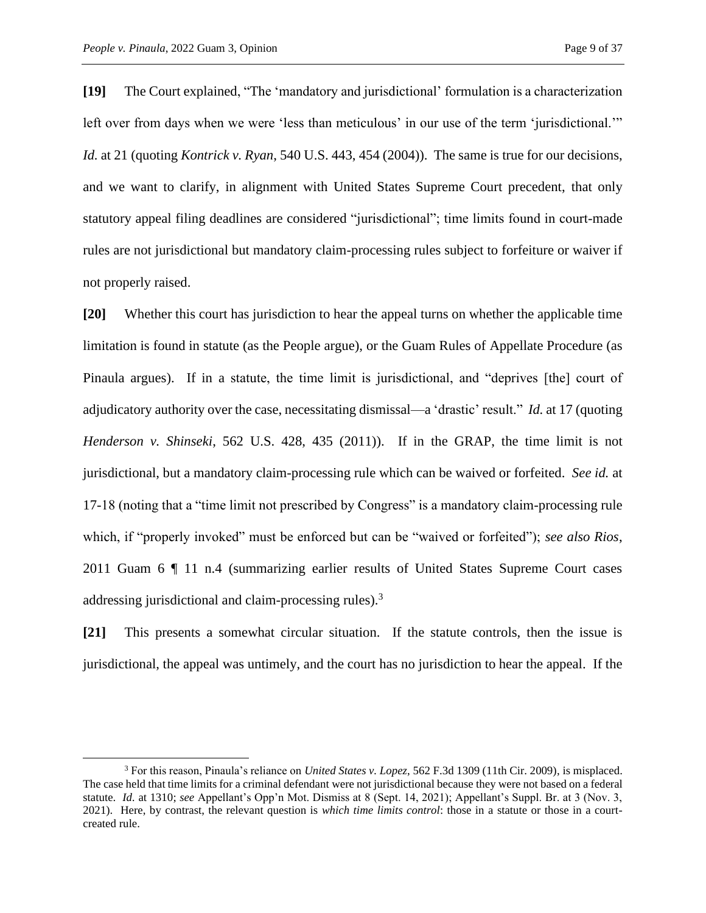**[19]** The Court explained, "The 'mandatory and jurisdictional' formulation is a characterization left over from days when we were 'less than meticulous' in our use of the term 'jurisdictional.'" *Id.* at 21 (quoting *Kontrick v. Ryan*, 540 U.S. 443, 454 (2004)). The same is true for our decisions, and we want to clarify, in alignment with United States Supreme Court precedent, that only statutory appeal filing deadlines are considered "jurisdictional"; time limits found in court-made rules are not jurisdictional but mandatory claim-processing rules subject to forfeiture or waiver if not properly raised.

**[20]** Whether this court has jurisdiction to hear the appeal turns on whether the applicable time limitation is found in statute (as the People argue), or the Guam Rules of Appellate Procedure (as Pinaula argues). If in a statute, the time limit is jurisdictional, and "deprives [the] court of adjudicatory authority over the case, necessitating dismissal—a 'drastic' result." *Id.* at 17 (quoting *Henderson v. Shinseki*, 562 U.S. 428, 435 (2011)). If in the GRAP, the time limit is not jurisdictional, but a mandatory claim-processing rule which can be waived or forfeited. *See id.* at 17-18 (noting that a "time limit not prescribed by Congress" is a mandatory claim-processing rule which, if "properly invoked" must be enforced but can be "waived or forfeited"); *see also Rios*, 2011 Guam 6 ¶ 11 n.4 (summarizing earlier results of United States Supreme Court cases addressing jurisdictional and claim-processing rules).<sup>3</sup>

**[21]** This presents a somewhat circular situation. If the statute controls, then the issue is jurisdictional, the appeal was untimely, and the court has no jurisdiction to hear the appeal. If the

<sup>3</sup> For this reason, Pinaula's reliance on *United States v. Lopez*, 562 F.3d 1309 (11th Cir. 2009), is misplaced. The case held that time limits for a criminal defendant were not jurisdictional because they were not based on a federal statute. *Id.* at 1310; *see* Appellant's Opp'n Mot. Dismiss at 8 (Sept. 14, 2021); Appellant's Suppl. Br. at 3 (Nov. 3, 2021). Here, by contrast, the relevant question is *which time limits control*: those in a statute or those in a courtcreated rule.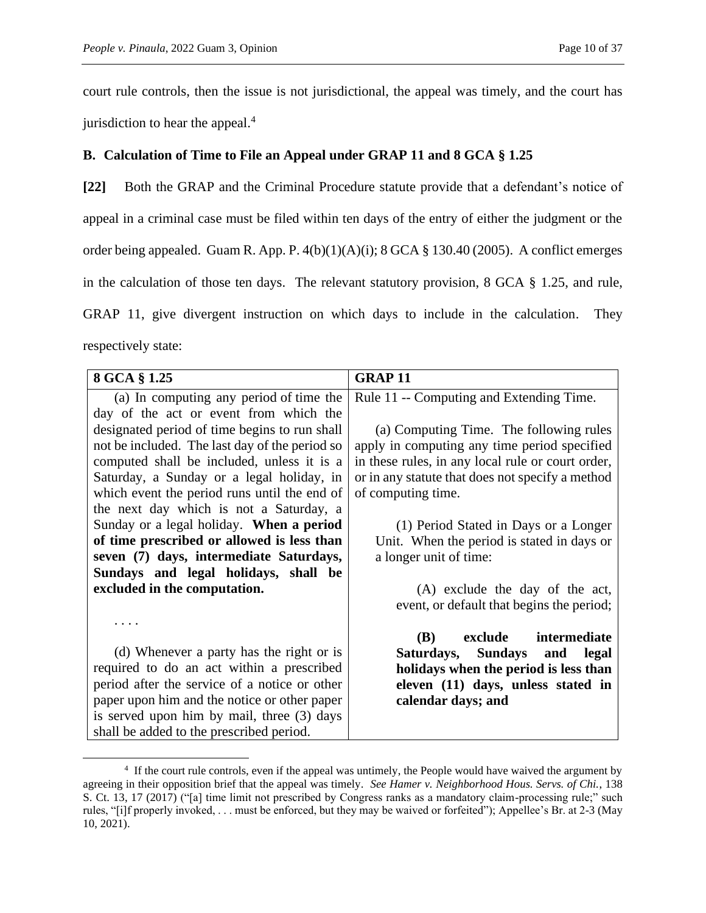court rule controls, then the issue is not jurisdictional, the appeal was timely, and the court has jurisdiction to hear the appeal.<sup>4</sup>

# **B. Calculation of Time to File an Appeal under GRAP 11 and 8 GCA § 1.25**

**[22]** Both the GRAP and the Criminal Procedure statute provide that a defendant's notice of appeal in a criminal case must be filed within ten days of the entry of either the judgment or the order being appealed. Guam R. App. P. 4(b)(1)(A)(i); 8 GCA § 130.40 (2005). A conflict emerges in the calculation of those ten days. The relevant statutory provision, 8 GCA § 1.25, and rule, GRAP 11, give divergent instruction on which days to include in the calculation. They respectively state:

| 8 GCA § 1.25                                   | <b>GRAP11</b>                                     |
|------------------------------------------------|---------------------------------------------------|
| (a) In computing any period of time the        | Rule 11 -- Computing and Extending Time.          |
| day of the act or event from which the         |                                                   |
| designated period of time begins to run shall  | (a) Computing Time. The following rules           |
| not be included. The last day of the period so | apply in computing any time period specified      |
| computed shall be included, unless it is a     | in these rules, in any local rule or court order, |
| Saturday, a Sunday or a legal holiday, in      | or in any statute that does not specify a method  |
| which event the period runs until the end of   | of computing time.                                |
| the next day which is not a Saturday, a        |                                                   |
| Sunday or a legal holiday. When a period       | (1) Period Stated in Days or a Longer             |
| of time prescribed or allowed is less than     | Unit. When the period is stated in days or        |
| seven (7) days, intermediate Saturdays,        | a longer unit of time:                            |
| Sundays and legal holidays, shall be           |                                                   |
| excluded in the computation.                   | (A) exclude the day of the act,                   |
|                                                | event, or default that begins the period;         |
|                                                |                                                   |
|                                                | exclude intermediate<br>( <b>B</b> )              |
| (d) Whenever a party has the right or is       | Saturdays, Sundays and<br>legal                   |
| required to do an act within a prescribed      | holidays when the period is less than             |
| period after the service of a notice or other  | eleven (11) days, unless stated in                |
| paper upon him and the notice or other paper   | calendar days; and                                |
| is served upon him by mail, three (3) days     |                                                   |
| shall be added to the prescribed period.       |                                                   |

<sup>&</sup>lt;sup>4</sup> If the court rule controls, even if the appeal was untimely, the People would have waived the argument by agreeing in their opposition brief that the appeal was timely. *See Hamer v. Neighborhood Hous. Servs. of Chi.*, 138 S. Ct. 13, 17 (2017) ("[a] time limit not prescribed by Congress ranks as a mandatory claim-processing rule;" such rules, "[i]f properly invoked, . . . must be enforced, but they may be waived or forfeited"); Appellee's Br. at 2-3 (May 10, 2021).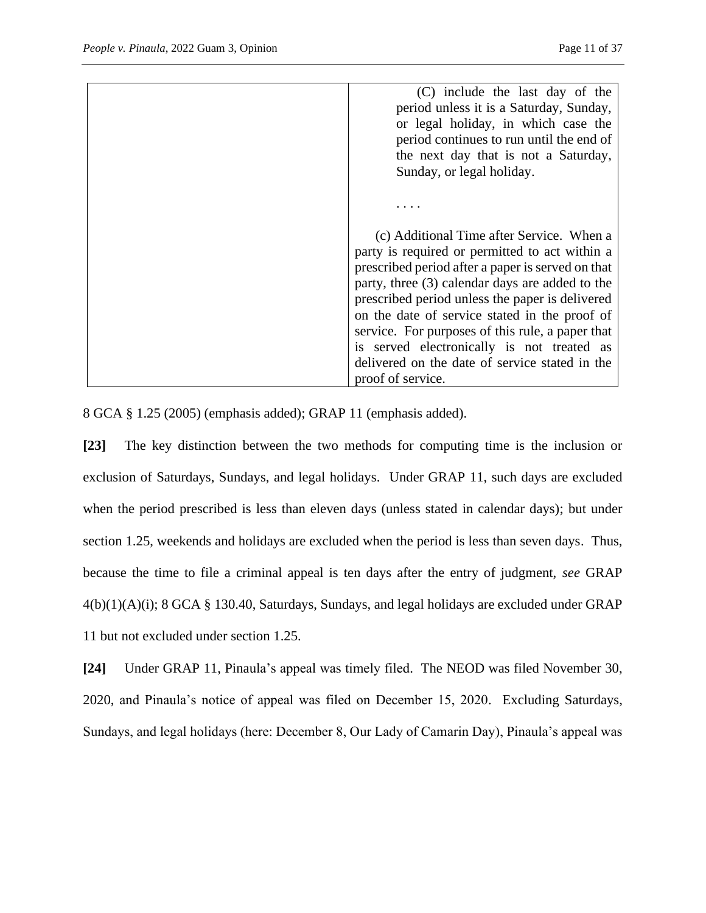| (C) include the last day of the<br>period unless it is a Saturday, Sunday,<br>or legal holiday, in which case the<br>period continues to run until the end of |
|---------------------------------------------------------------------------------------------------------------------------------------------------------------|
| the next day that is not a Saturday,                                                                                                                          |
| Sunday, or legal holiday.                                                                                                                                     |
|                                                                                                                                                               |
| (c) Additional Time after Service. When a                                                                                                                     |
| party is required or permitted to act within a                                                                                                                |
| prescribed period after a paper is served on that                                                                                                             |
| party, three (3) calendar days are added to the<br>prescribed period unless the paper is delivered                                                            |
| on the date of service stated in the proof of                                                                                                                 |
| service. For purposes of this rule, a paper that                                                                                                              |
| is served electronically is not treated as                                                                                                                    |
| delivered on the date of service stated in the                                                                                                                |
| proof of service.                                                                                                                                             |

8 GCA § 1.25 (2005) (emphasis added); GRAP 11 (emphasis added).

**[23]** The key distinction between the two methods for computing time is the inclusion or exclusion of Saturdays, Sundays, and legal holidays. Under GRAP 11, such days are excluded when the period prescribed is less than eleven days (unless stated in calendar days); but under section 1.25, weekends and holidays are excluded when the period is less than seven days. Thus, because the time to file a criminal appeal is ten days after the entry of judgment, *see* GRAP 4(b)(1)(A)(i); 8 GCA § 130.40, Saturdays, Sundays, and legal holidays are excluded under GRAP 11 but not excluded under section 1.25.

**[24]** Under GRAP 11, Pinaula's appeal was timely filed. The NEOD was filed November 30, 2020, and Pinaula's notice of appeal was filed on December 15, 2020. Excluding Saturdays, Sundays, and legal holidays (here: December 8, Our Lady of Camarin Day), Pinaula's appeal was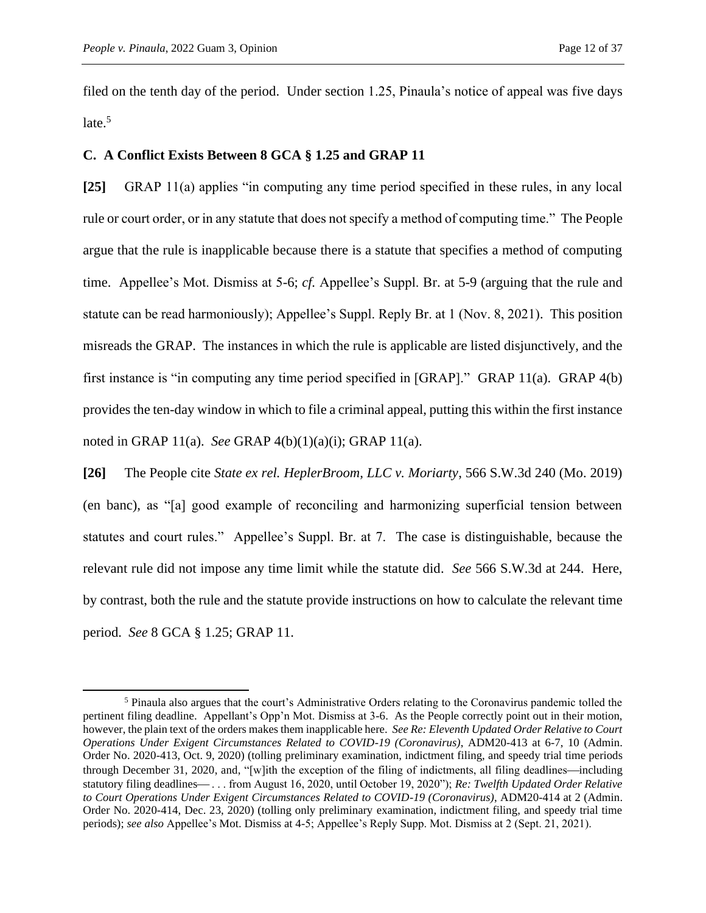filed on the tenth day of the period. Under section 1.25, Pinaula's notice of appeal was five days  $late.<sup>5</sup>$ 

### **C. A Conflict Exists Between 8 GCA § 1.25 and GRAP 11**

**[25]** GRAP 11(a) applies "in computing any time period specified in these rules, in any local rule or court order, or in any statute that does not specify a method of computing time." The People argue that the rule is inapplicable because there is a statute that specifies a method of computing time. Appellee's Mot. Dismiss at 5-6; *cf.* Appellee's Suppl. Br. at 5-9 (arguing that the rule and statute can be read harmoniously); Appellee's Suppl. Reply Br. at 1 (Nov. 8, 2021). This position misreads the GRAP. The instances in which the rule is applicable are listed disjunctively, and the first instance is "in computing any time period specified in [GRAP]." GRAP 11(a). GRAP 4(b) provides the ten-day window in which to file a criminal appeal, putting this within the first instance noted in GRAP 11(a). *See* GRAP 4(b)(1)(a)(i); GRAP 11(a).

**[26]** The People cite *State ex rel. HeplerBroom, LLC v. Moriarty*, 566 S.W.3d 240 (Mo. 2019) (en banc), as "[a] good example of reconciling and harmonizing superficial tension between statutes and court rules." Appellee's Suppl. Br. at 7. The case is distinguishable, because the relevant rule did not impose any time limit while the statute did. *See* 566 S.W.3d at 244. Here, by contrast, both the rule and the statute provide instructions on how to calculate the relevant time period. *See* 8 GCA § 1.25; GRAP 11.

<sup>5</sup> Pinaula also argues that the court's Administrative Orders relating to the Coronavirus pandemic tolled the pertinent filing deadline. Appellant's Opp'n Mot. Dismiss at 3-6. As the People correctly point out in their motion, however, the plain text of the orders makes them inapplicable here. *See Re: Eleventh Updated Order Relative to Court Operations Under Exigent Circumstances Related to COVID-19 (Coronavirus)*, ADM20-413 at 6-7, 10 (Admin. Order No. 2020-413, Oct. 9, 2020) (tolling preliminary examination, indictment filing, and speedy trial time periods through December 31, 2020, and, "[w]ith the exception of the filing of indictments, all filing deadlines—including statutory filing deadlines— ... from August 16, 2020, until October 19, 2020"); *Re: Twelfth Updated Order Relative to Court Operations Under Exigent Circumstances Related to COVID-19 (Coronavirus)*, ADM20-414 at 2 (Admin. Order No. 2020-414, Dec. 23, 2020) (tolling only preliminary examination, indictment filing, and speedy trial time periods); *see also* Appellee's Mot. Dismiss at 4-5; Appellee's Reply Supp. Mot. Dismiss at 2 (Sept. 21, 2021).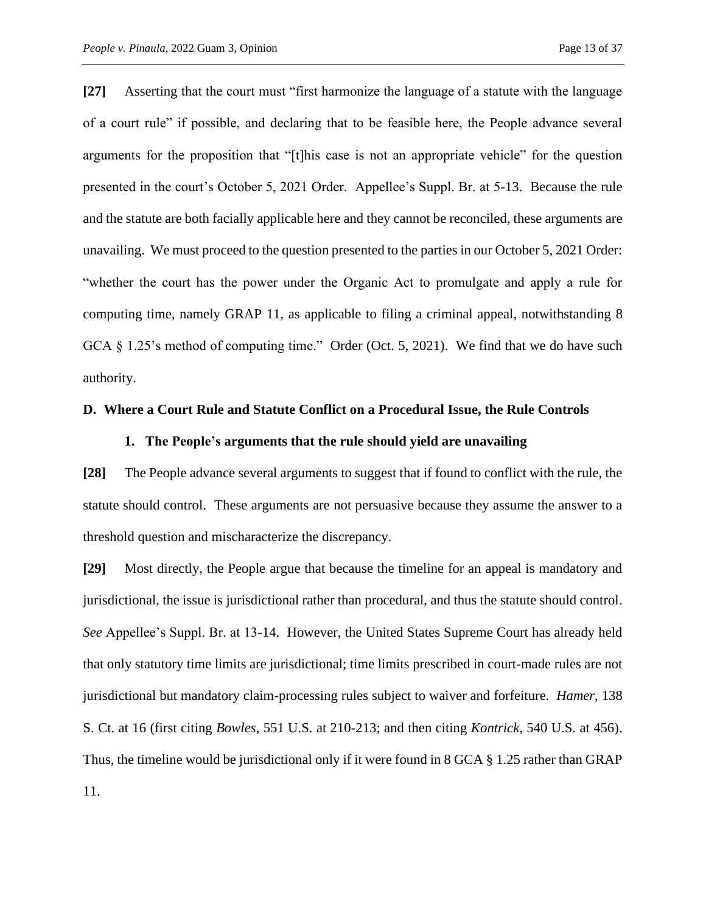**[27]** Asserting that the court must "first harmonize the language of a statute with the language of a court rule" if possible, and declaring that to be feasible here, the People advance several arguments for the proposition that "[t]his case is not an appropriate vehicle" for the question presented in the court's October 5, 2021 Order. Appellee's Suppl. Br. at 5-13. Because the rule and the statute are both facially applicable here and they cannot be reconciled, these arguments are unavailing. We must proceed to the question presented to the parties in our October 5, 2021 Order: "whether the court has the power under the Organic Act to promulgate and apply a rule for computing time, namely GRAP 11, as applicable to filing a criminal appeal, notwithstanding 8 GCA § 1.25's method of computing time." Order (Oct. 5, 2021). We find that we do have such authority.

#### **D. Where a Court Rule and Statute Conflict on a Procedural Issue, the Rule Controls**

### **1. The People's arguments that the rule should yield are unavailing**

**[28]** The People advance several arguments to suggest that if found to conflict with the rule, the statute should control. These arguments are not persuasive because they assume the answer to a threshold question and mischaracterize the discrepancy.

**[29]** Most directly, the People argue that because the timeline for an appeal is mandatory and jurisdictional, the issue is jurisdictional rather than procedural, and thus the statute should control. *See* Appellee's Suppl. Br. at 13-14. However, the United States Supreme Court has already held that only statutory time limits are jurisdictional; time limits prescribed in court-made rules are not jurisdictional but mandatory claim-processing rules subject to waiver and forfeiture. *Hamer*, 138 S. Ct. at 16 (first citing *Bowles*, 551 U.S. at 210-213; and then citing *Kontrick*, 540 U.S. at 456). Thus, the timeline would be jurisdictional only if it were found in 8 GCA § 1.25 rather than GRAP 11.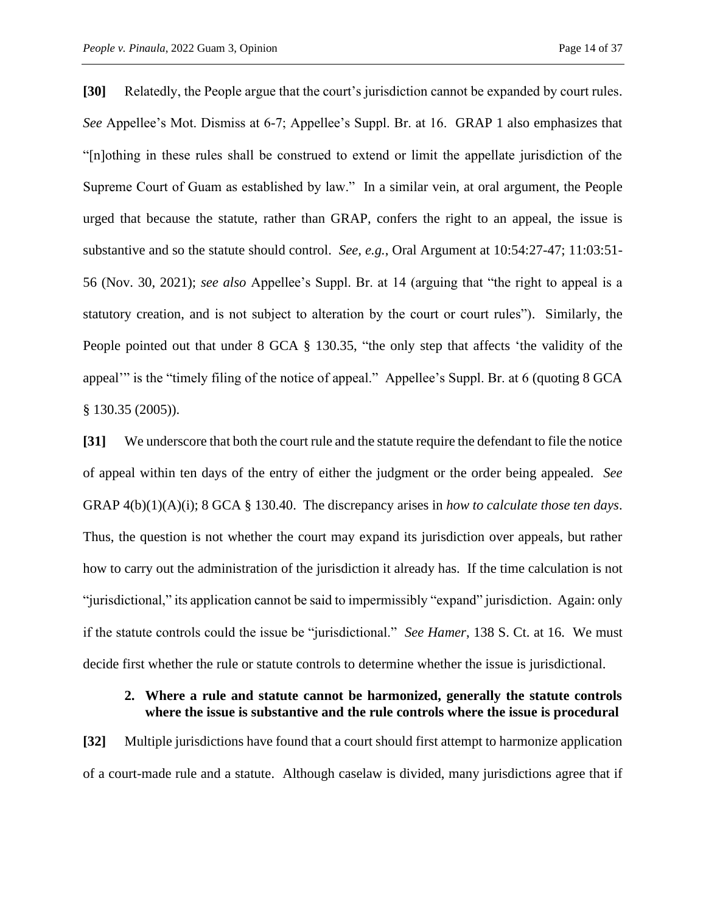**[30]** Relatedly, the People argue that the court's jurisdiction cannot be expanded by court rules. *See* Appellee's Mot. Dismiss at 6-7; Appellee's Suppl. Br. at 16. GRAP 1 also emphasizes that "[n]othing in these rules shall be construed to extend or limit the appellate jurisdiction of the Supreme Court of Guam as established by law." In a similar vein, at oral argument, the People urged that because the statute, rather than GRAP, confers the right to an appeal, the issue is substantive and so the statute should control. *See, e.g.*, Oral Argument at 10:54:27-47; 11:03:51- 56 (Nov. 30, 2021); *see also* Appellee's Suppl. Br. at 14 (arguing that "the right to appeal is a statutory creation, and is not subject to alteration by the court or court rules"). Similarly, the People pointed out that under 8 GCA § 130.35, "the only step that affects 'the validity of the appeal'" is the "timely filing of the notice of appeal." Appellee's Suppl. Br. at 6 (quoting 8 GCA § 130.35 (2005)).

**[31]** We underscore that both the court rule and the statute require the defendant to file the notice of appeal within ten days of the entry of either the judgment or the order being appealed. *See* GRAP 4(b)(1)(A)(i); 8 GCA § 130.40. The discrepancy arises in *how to calculate those ten days*. Thus, the question is not whether the court may expand its jurisdiction over appeals, but rather how to carry out the administration of the jurisdiction it already has. If the time calculation is not "jurisdictional," its application cannot be said to impermissibly "expand" jurisdiction. Again: only if the statute controls could the issue be "jurisdictional." *See Hamer*, 138 S. Ct. at 16. We must decide first whether the rule or statute controls to determine whether the issue is jurisdictional.

## **2. Where a rule and statute cannot be harmonized, generally the statute controls where the issue is substantive and the rule controls where the issue is procedural**

**[32]** Multiple jurisdictions have found that a court should first attempt to harmonize application of a court-made rule and a statute. Although caselaw is divided, many jurisdictions agree that if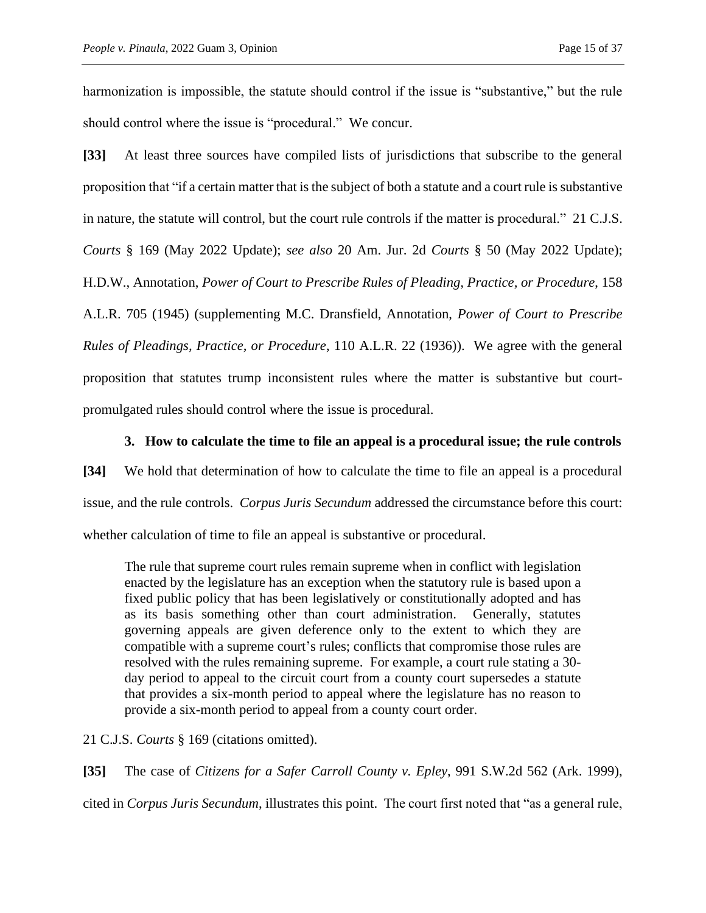harmonization is impossible, the statute should control if the issue is "substantive," but the rule should control where the issue is "procedural." We concur.

**[33]** At least three sources have compiled lists of jurisdictions that subscribe to the general proposition that "if a certain matter that is the subject of both a statute and a court rule is substantive in nature, the statute will control, but the court rule controls if the matter is procedural." 21 C.J.S. *Courts* § 169 (May 2022 Update); *see also* 20 Am. Jur. 2d *Courts* § 50 (May 2022 Update); H.D.W., Annotation, *Power of Court to Prescribe Rules of Pleading, Practice, or Procedure*, 158 A.L.R. 705 (1945) (supplementing M.C. Dransfield, Annotation, *Power of Court to Prescribe Rules of Pleadings, Practice, or Procedure*, 110 A.L.R. 22 (1936)). We agree with the general proposition that statutes trump inconsistent rules where the matter is substantive but courtpromulgated rules should control where the issue is procedural.

## **3. How to calculate the time to file an appeal is a procedural issue; the rule controls**

**[34]** We hold that determination of how to calculate the time to file an appeal is a procedural issue, and the rule controls. *Corpus Juris Secundum* addressed the circumstance before this court: whether calculation of time to file an appeal is substantive or procedural.

The rule that supreme court rules remain supreme when in conflict with legislation enacted by the legislature has an exception when the statutory rule is based upon a fixed public policy that has been legislatively or constitutionally adopted and has as its basis something other than court administration. Generally, statutes governing appeals are given deference only to the extent to which they are compatible with a supreme court's rules; conflicts that compromise those rules are resolved with the rules remaining supreme. For example, a court rule stating a 30 day period to appeal to the circuit court from a county court supersedes a statute that provides a six-month period to appeal where the legislature has no reason to provide a six-month period to appeal from a county court order.

21 C.J.S. *Courts* § 169 (citations omitted).

**[35]** The case of *Citizens for a Safer Carroll County v. Epley*, 991 S.W.2d 562 (Ark. 1999),

cited in *Corpus Juris Secundum*, illustrates this point. The court first noted that "as a general rule,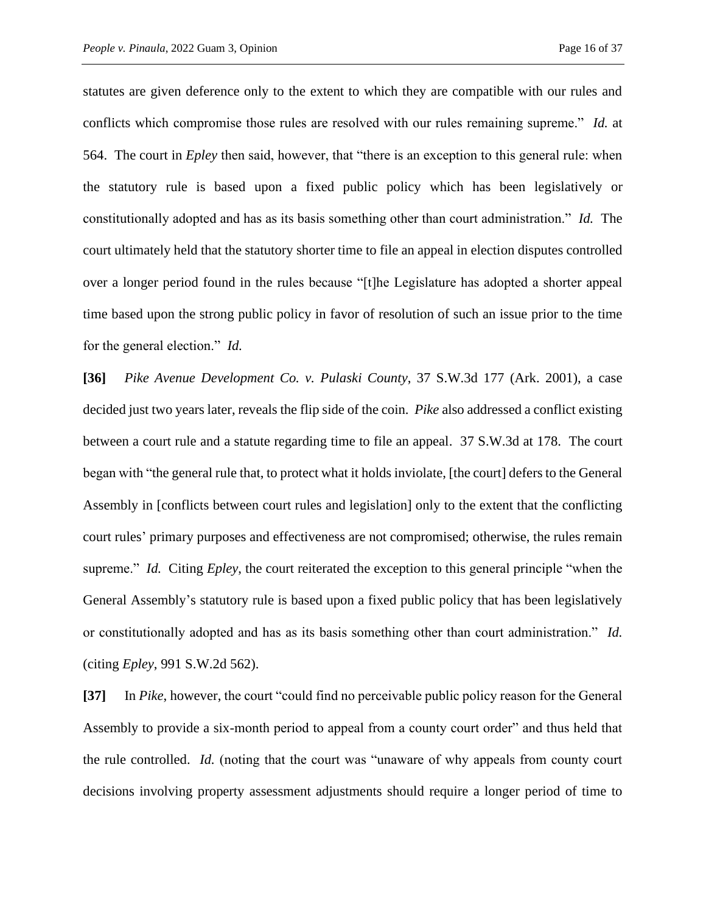statutes are given deference only to the extent to which they are compatible with our rules and conflicts which compromise those rules are resolved with our rules remaining supreme." *Id.* at 564. The court in *Epley* then said, however, that "there is an exception to this general rule: when the statutory rule is based upon a fixed public policy which has been legislatively or constitutionally adopted and has as its basis something other than court administration." *Id.* The court ultimately held that the statutory shorter time to file an appeal in election disputes controlled over a longer period found in the rules because "[t]he Legislature has adopted a shorter appeal time based upon the strong public policy in favor of resolution of such an issue prior to the time for the general election." *Id.*

**[36]** *Pike Avenue Development Co. v. Pulaski County*, 37 S.W.3d 177 (Ark. 2001), a case decided just two years later, reveals the flip side of the coin. *Pike* also addressed a conflict existing between a court rule and a statute regarding time to file an appeal. 37 S.W.3d at 178. The court began with "the general rule that, to protect what it holds inviolate, [the court] defers to the General Assembly in [conflicts between court rules and legislation] only to the extent that the conflicting court rules' primary purposes and effectiveness are not compromised; otherwise, the rules remain supreme." *Id.* Citing *Epley*, the court reiterated the exception to this general principle "when the General Assembly's statutory rule is based upon a fixed public policy that has been legislatively or constitutionally adopted and has as its basis something other than court administration." *Id.* (citing *Epley*, 991 S.W.2d 562).

**[37]** In *Pike*, however, the court "could find no perceivable public policy reason for the General Assembly to provide a six-month period to appeal from a county court order" and thus held that the rule controlled. *Id.* (noting that the court was "unaware of why appeals from county court decisions involving property assessment adjustments should require a longer period of time to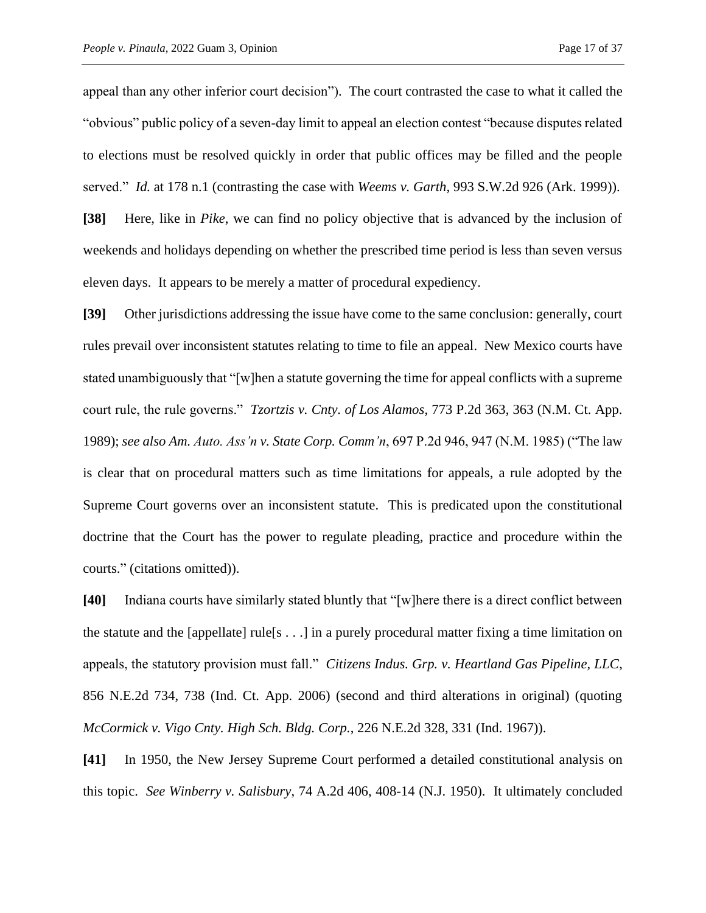appeal than any other inferior court decision"). The court contrasted the case to what it called the "obvious" public policy of a seven-day limit to appeal an election contest "because disputes related to elections must be resolved quickly in order that public offices may be filled and the people served." *Id.* at 178 n.1 (contrasting the case with *Weems v. Garth*, 993 S.W.2d 926 (Ark. 1999)).

**[38]** Here, like in *Pike*, we can find no policy objective that is advanced by the inclusion of weekends and holidays depending on whether the prescribed time period is less than seven versus eleven days. It appears to be merely a matter of procedural expediency.

**[39]** Other jurisdictions addressing the issue have come to the same conclusion: generally, court rules prevail over inconsistent statutes relating to time to file an appeal. New Mexico courts have stated unambiguously that "[w]hen a statute governing the time for appeal conflicts with a supreme court rule, the rule governs." *Tzortzis v. Cnty. of Los Alamos*, 773 P.2d 363, 363 (N.M. Ct. App. 1989); *see also Am. Auto. Ass'n v. State Corp. Comm'n*, 697 P.2d 946, 947 (N.M. 1985) ("The law is clear that on procedural matters such as time limitations for appeals, a rule adopted by the Supreme Court governs over an inconsistent statute. This is predicated upon the constitutional doctrine that the Court has the power to regulate pleading, practice and procedure within the courts." (citations omitted)).

**[40]** Indiana courts have similarly stated bluntly that "[w]here there is a direct conflict between the statute and the [appellate] rule[s  $\dots$ ] in a purely procedural matter fixing a time limitation on appeals, the statutory provision must fall." *Citizens Indus. Grp. v. Heartland Gas Pipeline, LLC*, 856 N.E.2d 734, 738 (Ind. Ct. App. 2006) (second and third alterations in original) (quoting *McCormick v. Vigo Cnty. High Sch. Bldg. Corp.*, 226 N.E.2d 328, 331 (Ind. 1967)).

**[41]** In 1950, the New Jersey Supreme Court performed a detailed constitutional analysis on this topic. *See Winberry v. Salisbury*, 74 A.2d 406, 408-14 (N.J. 1950). It ultimately concluded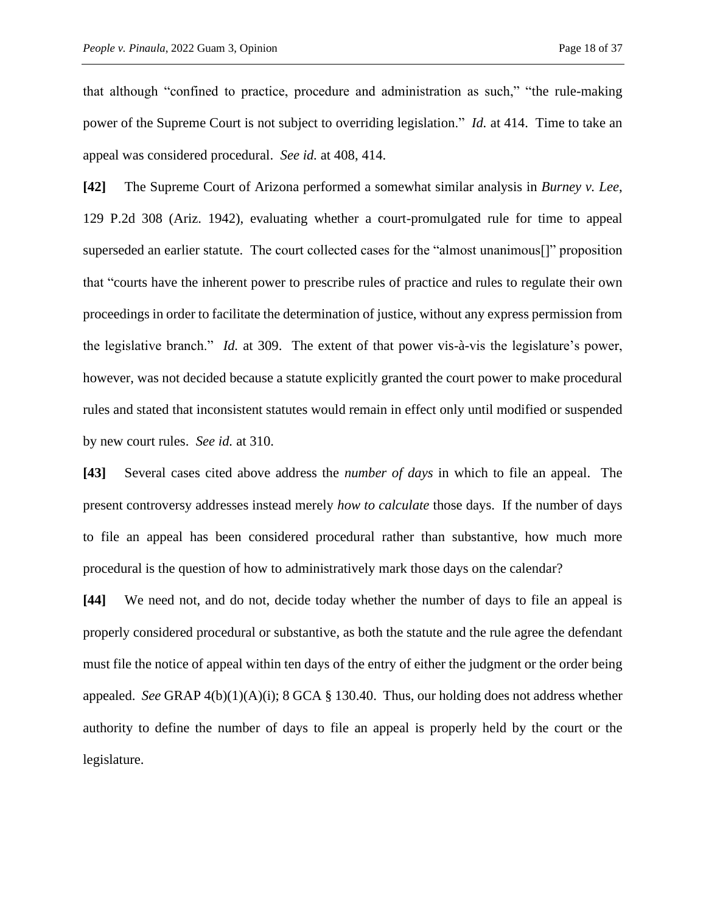that although "confined to practice, procedure and administration as such," "the rule-making power of the Supreme Court is not subject to overriding legislation." *Id.* at 414. Time to take an appeal was considered procedural. *See id.* at 408, 414.

**[42]** The Supreme Court of Arizona performed a somewhat similar analysis in *Burney v. Lee*, 129 P.2d 308 (Ariz. 1942), evaluating whether a court-promulgated rule for time to appeal superseded an earlier statute. The court collected cases for the "almost unanimous[]" proposition that "courts have the inherent power to prescribe rules of practice and rules to regulate their own proceedings in order to facilitate the determination of justice, without any express permission from the legislative branch." *Id.* at 309. The extent of that power vis-à-vis the legislature's power, however, was not decided because a statute explicitly granted the court power to make procedural rules and stated that inconsistent statutes would remain in effect only until modified or suspended by new court rules. *See id.* at 310.

**[43]** Several cases cited above address the *number of days* in which to file an appeal. The present controversy addresses instead merely *how to calculate* those days. If the number of days to file an appeal has been considered procedural rather than substantive, how much more procedural is the question of how to administratively mark those days on the calendar?

**[44]** We need not, and do not, decide today whether the number of days to file an appeal is properly considered procedural or substantive, as both the statute and the rule agree the defendant must file the notice of appeal within ten days of the entry of either the judgment or the order being appealed. *See* GRAP 4(b)(1)(A)(i); 8 GCA § 130.40. Thus, our holding does not address whether authority to define the number of days to file an appeal is properly held by the court or the legislature.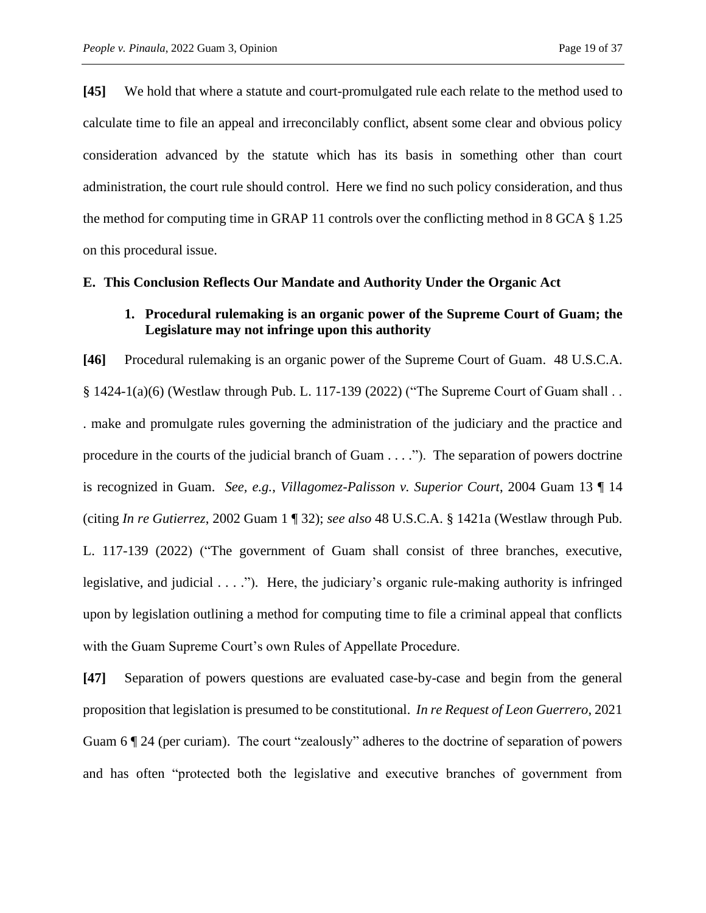**[45]** We hold that where a statute and court-promulgated rule each relate to the method used to calculate time to file an appeal and irreconcilably conflict, absent some clear and obvious policy consideration advanced by the statute which has its basis in something other than court administration, the court rule should control. Here we find no such policy consideration, and thus the method for computing time in GRAP 11 controls over the conflicting method in 8 GCA § 1.25 on this procedural issue.

#### **E. This Conclusion Reflects Our Mandate and Authority Under the Organic Act**

## **1. Procedural rulemaking is an organic power of the Supreme Court of Guam; the Legislature may not infringe upon this authority**

**[46]** Procedural rulemaking is an organic power of the Supreme Court of Guam. 48 U.S.C.A. § 1424-1(a)(6) (Westlaw through Pub. L. 117-139 (2022) ("The Supreme Court of Guam shall . . . make and promulgate rules governing the administration of the judiciary and the practice and procedure in the courts of the judicial branch of Guam . . . ."). The separation of powers doctrine is recognized in Guam. *See, e.g.*, *Villagomez-Palisson v. Superior Court*, 2004 Guam 13 ¶ 14 (citing *In re Gutierrez*, 2002 Guam 1 ¶ 32); *see also* 48 U.S.C.A. § 1421a (Westlaw through Pub. L. 117-139 (2022) ("The government of Guam shall consist of three branches, executive, legislative, and judicial . . . ."). Here, the judiciary's organic rule-making authority is infringed upon by legislation outlining a method for computing time to file a criminal appeal that conflicts with the Guam Supreme Court's own Rules of Appellate Procedure.

**[47]** Separation of powers questions are evaluated case-by-case and begin from the general proposition that legislation is presumed to be constitutional. *In re Request of Leon Guerrero*, 2021 Guam 6 ¶ 24 (per curiam). The court "zealously" adheres to the doctrine of separation of powers and has often "protected both the legislative and executive branches of government from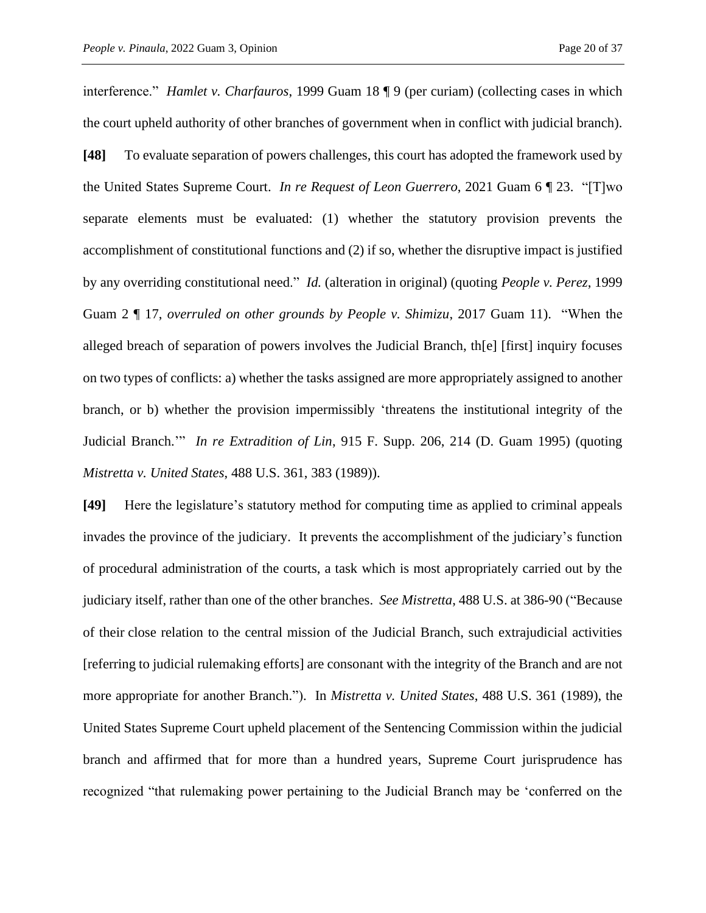interference." *Hamlet v. Charfauros*, 1999 Guam 18 ¶ 9 (per curiam) (collecting cases in which the court upheld authority of other branches of government when in conflict with judicial branch). **[48]** To evaluate separation of powers challenges, this court has adopted the framework used by the United States Supreme Court. *In re Request of Leon Guerrero*, 2021 Guam 6 ¶ 23. "[T]wo separate elements must be evaluated: (1) whether the statutory provision prevents the accomplishment of constitutional functions and (2) if so, whether the disruptive impact is justified by any overriding constitutional need." *Id.* (alteration in original) (quoting *People v. Perez*, 1999 Guam 2 ¶ 17, *overruled on other grounds by People v. Shimizu*, 2017 Guam 11). "When the alleged breach of separation of powers involves the Judicial Branch, th[e] [first] inquiry focuses on two types of conflicts: a) whether the tasks assigned are more appropriately assigned to another branch, or b) whether the provision impermissibly 'threatens the institutional integrity of the Judicial Branch.'" *In re Extradition of Lin*, 915 F. Supp. 206, 214 (D. Guam 1995) (quoting *Mistretta v. United States*, 488 U.S. 361, 383 (1989)).

**[49]** Here the legislature's statutory method for computing time as applied to criminal appeals invades the province of the judiciary. It prevents the accomplishment of the judiciary's function of procedural administration of the courts, a task which is most appropriately carried out by the judiciary itself, rather than one of the other branches. *See Mistretta*, 488 U.S. at 386-90 ("Because of their close relation to the central mission of the Judicial Branch, such extrajudicial activities [referring to judicial rulemaking efforts] are consonant with the integrity of the Branch and are not more appropriate for another Branch."). In *Mistretta v. United States*, 488 U.S. 361 (1989), the United States Supreme Court upheld placement of the Sentencing Commission within the judicial branch and affirmed that for more than a hundred years, Supreme Court jurisprudence has recognized "that rulemaking power pertaining to the Judicial Branch may be 'conferred on the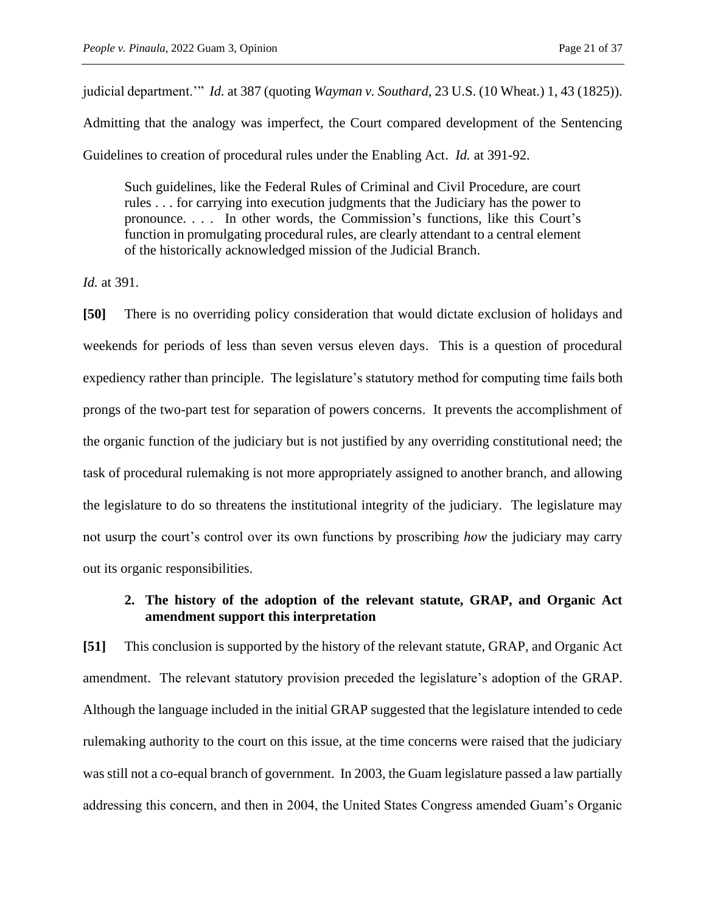judicial department.'" *Id.* at 387 (quoting *Wayman v. Southard*, 23 U.S. (10 Wheat.) 1, 43 (1825)).

Admitting that the analogy was imperfect, the Court compared development of the Sentencing Guidelines to creation of procedural rules under the Enabling Act. *Id.* at 391-92.

Such guidelines, like the Federal Rules of Criminal and Civil Procedure, are court rules . . . for carrying into execution judgments that the Judiciary has the power to pronounce. . . . In other words, the Commission's functions, like this Court's function in promulgating procedural rules, are clearly attendant to a central element of the historically acknowledged mission of the Judicial Branch.

*Id.* at 391.

**[50]** There is no overriding policy consideration that would dictate exclusion of holidays and weekends for periods of less than seven versus eleven days. This is a question of procedural expediency rather than principle. The legislature's statutory method for computing time fails both prongs of the two-part test for separation of powers concerns. It prevents the accomplishment of the organic function of the judiciary but is not justified by any overriding constitutional need; the task of procedural rulemaking is not more appropriately assigned to another branch, and allowing the legislature to do so threatens the institutional integrity of the judiciary. The legislature may not usurp the court's control over its own functions by proscribing *how* the judiciary may carry out its organic responsibilities.

# **2. The history of the adoption of the relevant statute, GRAP, and Organic Act amendment support this interpretation**

**[51]** This conclusion is supported by the history of the relevant statute, GRAP, and Organic Act amendment. The relevant statutory provision preceded the legislature's adoption of the GRAP. Although the language included in the initial GRAP suggested that the legislature intended to cede rulemaking authority to the court on this issue, at the time concerns were raised that the judiciary was still not a co-equal branch of government. In 2003, the Guam legislature passed a law partially addressing this concern, and then in 2004, the United States Congress amended Guam's Organic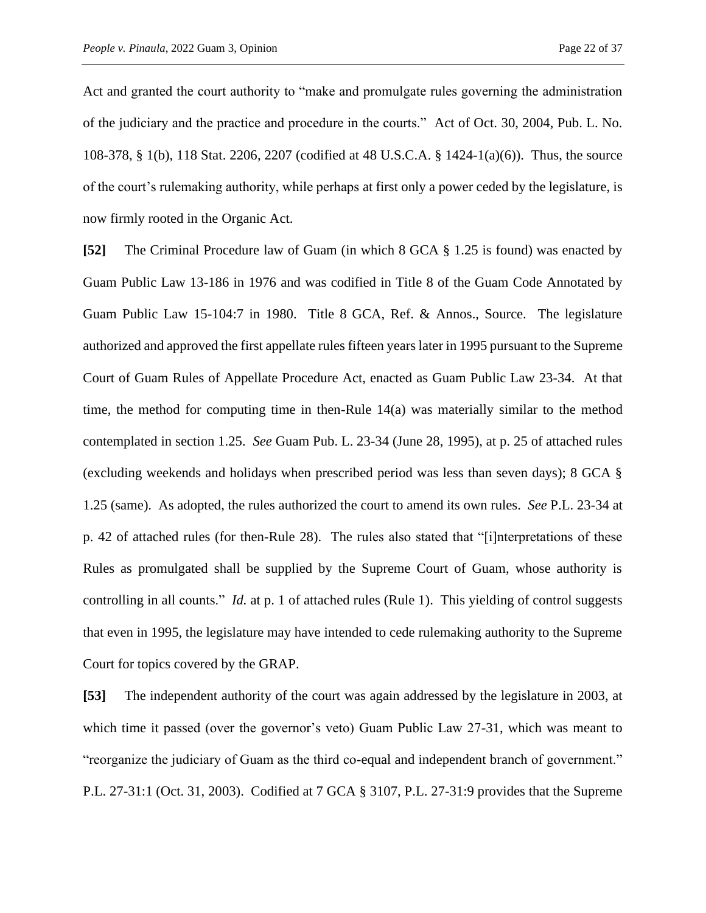Act and granted the court authority to "make and promulgate rules governing the administration of the judiciary and the practice and procedure in the courts." Act of Oct. 30, 2004, Pub. L. No. 108-378, § 1(b), 118 Stat. 2206, 2207 (codified at 48 U.S.C.A. § 1424-1(a)(6)). Thus, the source of the court's rulemaking authority, while perhaps at first only a power ceded by the legislature, is now firmly rooted in the Organic Act.

**[52]** The Criminal Procedure law of Guam (in which 8 GCA § 1.25 is found) was enacted by Guam Public Law 13-186 in 1976 and was codified in Title 8 of the Guam Code Annotated by Guam Public Law 15-104:7 in 1980. Title 8 GCA, Ref. & Annos., Source. The legislature authorized and approved the first appellate rules fifteen years later in 1995 pursuant to the Supreme Court of Guam Rules of Appellate Procedure Act, enacted as Guam Public Law 23-34. At that time, the method for computing time in then-Rule 14(a) was materially similar to the method contemplated in section 1.25. *See* Guam Pub. L. 23-34 (June 28, 1995), at p. 25 of attached rules (excluding weekends and holidays when prescribed period was less than seven days); 8 GCA § 1.25 (same). As adopted, the rules authorized the court to amend its own rules. *See* P.L. 23-34 at p. 42 of attached rules (for then-Rule 28). The rules also stated that "[i]nterpretations of these Rules as promulgated shall be supplied by the Supreme Court of Guam, whose authority is controlling in all counts." *Id.* at p. 1 of attached rules (Rule 1). This yielding of control suggests that even in 1995, the legislature may have intended to cede rulemaking authority to the Supreme Court for topics covered by the GRAP.

**[53]** The independent authority of the court was again addressed by the legislature in 2003, at which time it passed (over the governor's veto) Guam Public Law 27-31, which was meant to "reorganize the judiciary of Guam as the third co-equal and independent branch of government." P.L. 27-31:1 (Oct. 31, 2003). Codified at 7 GCA § 3107, P.L. 27-31:9 provides that the Supreme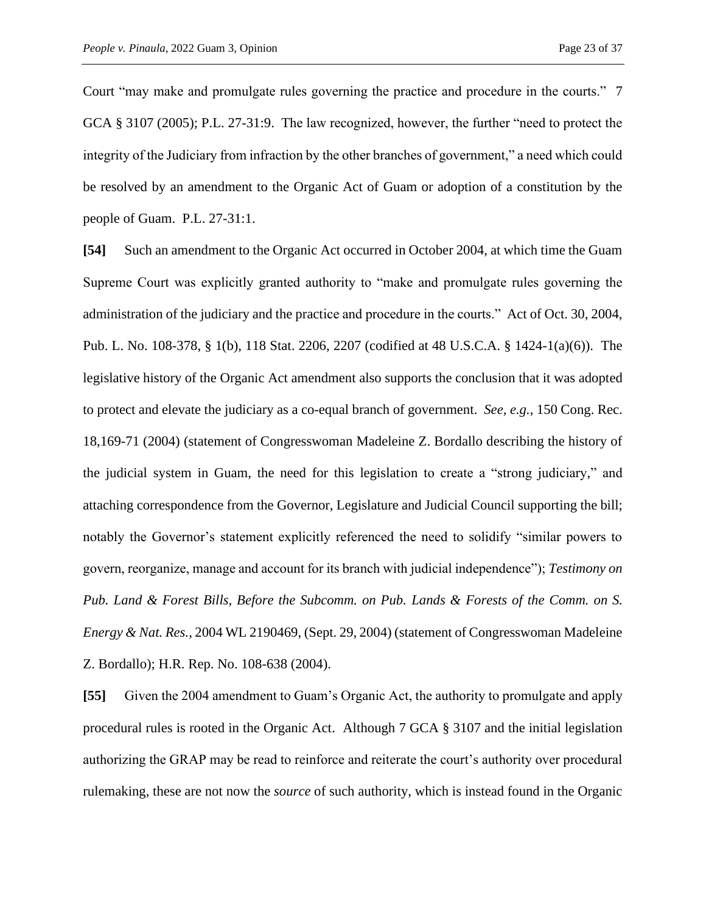Court "may make and promulgate rules governing the practice and procedure in the courts." 7 GCA § 3107 (2005); P.L. 27-31:9. The law recognized, however, the further "need to protect the integrity of the Judiciary from infraction by the other branches of government," a need which could be resolved by an amendment to the Organic Act of Guam or adoption of a constitution by the people of Guam. P.L. 27-31:1.

**[54]** Such an amendment to the Organic Act occurred in October 2004, at which time the Guam Supreme Court was explicitly granted authority to "make and promulgate rules governing the administration of the judiciary and the practice and procedure in the courts." Act of Oct. 30, 2004, Pub. L. No. 108-378, § 1(b), 118 Stat. 2206, 2207 (codified at 48 U.S.C.A. § 1424-1(a)(6)). The legislative history of the Organic Act amendment also supports the conclusion that it was adopted to protect and elevate the judiciary as a co-equal branch of government. *See, e.g.*, 150 Cong. Rec. 18,169-71 (2004) (statement of Congresswoman Madeleine Z. Bordallo describing the history of the judicial system in Guam, the need for this legislation to create a "strong judiciary," and attaching correspondence from the Governor, Legislature and Judicial Council supporting the bill; notably the Governor's statement explicitly referenced the need to solidify "similar powers to govern, reorganize, manage and account for its branch with judicial independence"); *Testimony on Pub. Land & Forest Bills, Before the Subcomm. on Pub. Lands & Forests of the Comm. on S. Energy & Nat. Res.*, 2004 WL 2190469, (Sept. 29, 2004) (statement of Congresswoman Madeleine Z. Bordallo); H.R. Rep. No. 108-638 (2004).

**[55]** Given the 2004 amendment to Guam's Organic Act, the authority to promulgate and apply procedural rules is rooted in the Organic Act. Although 7 GCA § 3107 and the initial legislation authorizing the GRAP may be read to reinforce and reiterate the court's authority over procedural rulemaking, these are not now the *source* of such authority, which is instead found in the Organic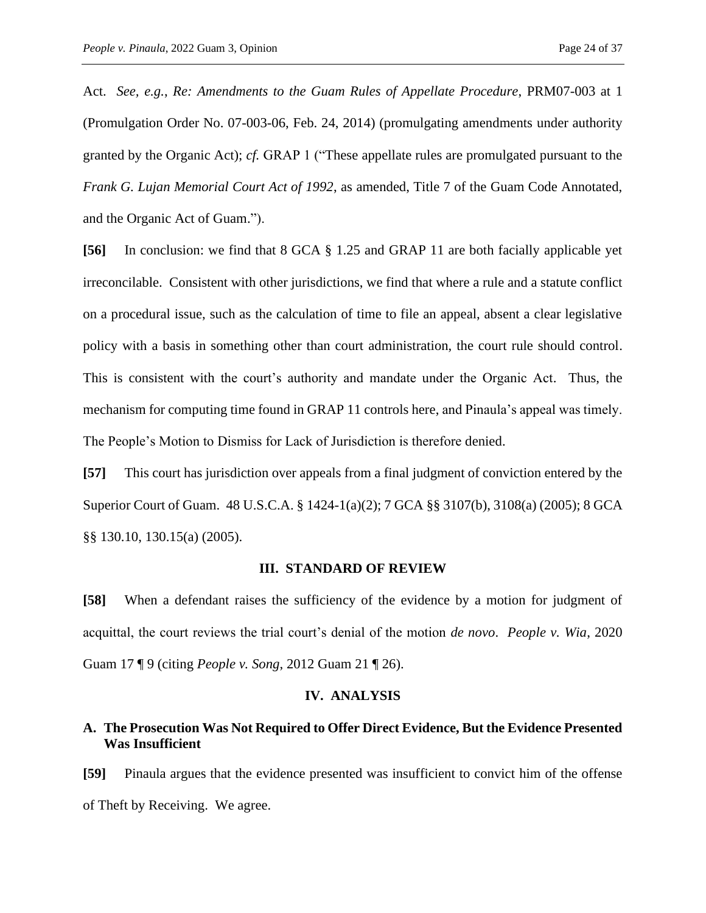Act. *See, e.g.*, *Re: Amendments to the Guam Rules of Appellate Procedure*, PRM07-003 at 1 (Promulgation Order No. 07-003-06, Feb. 24, 2014) (promulgating amendments under authority granted by the Organic Act); *cf.* GRAP 1 ("These appellate rules are promulgated pursuant to the *Frank G. Lujan Memorial Court Act of 1992*, as amended, Title 7 of the Guam Code Annotated, and the Organic Act of Guam.").

**[56]** In conclusion: we find that 8 GCA § 1.25 and GRAP 11 are both facially applicable yet irreconcilable. Consistent with other jurisdictions, we find that where a rule and a statute conflict on a procedural issue, such as the calculation of time to file an appeal, absent a clear legislative policy with a basis in something other than court administration, the court rule should control. This is consistent with the court's authority and mandate under the Organic Act. Thus, the mechanism for computing time found in GRAP 11 controls here, and Pinaula's appeal was timely. The People's Motion to Dismiss for Lack of Jurisdiction is therefore denied.

**[57]** This court has jurisdiction over appeals from a final judgment of conviction entered by the Superior Court of Guam. 48 U.S.C.A. § 1424-1(a)(2); 7 GCA §§ 3107(b), 3108(a) (2005); 8 GCA §§ 130.10, 130.15(a) (2005).

#### **III. STANDARD OF REVIEW**

**[58]** When a defendant raises the sufficiency of the evidence by a motion for judgment of acquittal, the court reviews the trial court's denial of the motion *de novo*. *People v. Wia*, 2020 Guam 17 ¶ 9 (citing *People v. Song*, 2012 Guam 21 ¶ 26).

#### **IV. ANALYSIS**

## **A. The Prosecution Was Not Required to Offer Direct Evidence, But the Evidence Presented Was Insufficient**

**[59]** Pinaula argues that the evidence presented was insufficient to convict him of the offense of Theft by Receiving. We agree.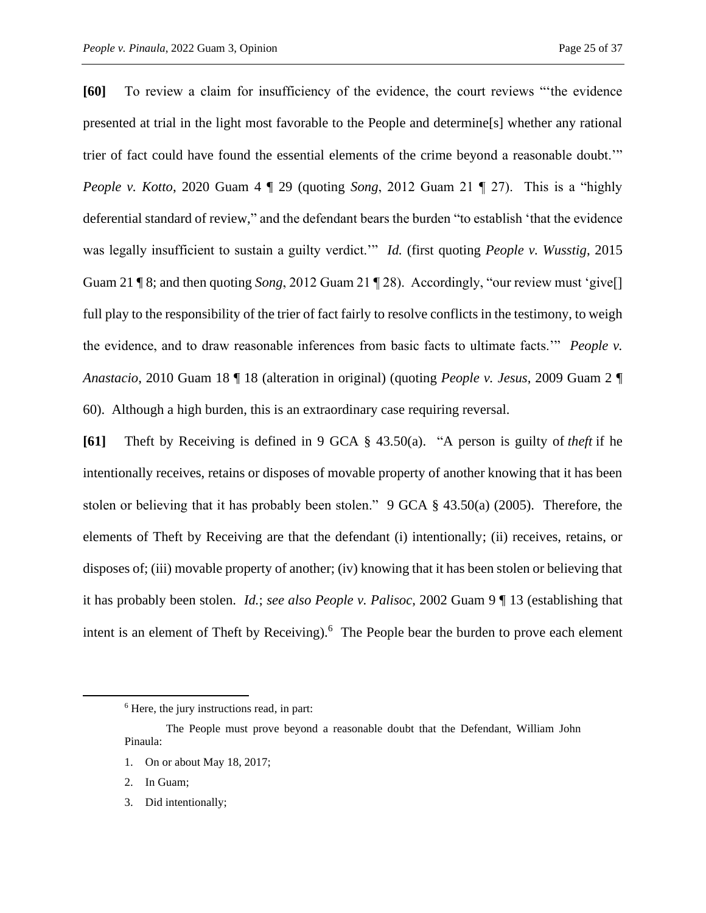**[60]** To review a claim for insufficiency of the evidence, the court reviews "'the evidence presented at trial in the light most favorable to the People and determine[s] whether any rational trier of fact could have found the essential elements of the crime beyond a reasonable doubt.'" *People v. Kotto*, 2020 Guam 4 ¶ 29 (quoting *Song*, 2012 Guam 21 ¶ 27). This is a "highly deferential standard of review," and the defendant bears the burden "to establish 'that the evidence was legally insufficient to sustain a guilty verdict.'" *Id.* (first quoting *People v. Wusstig*, 2015 Guam 21 ¶ 8; and then quoting *Song*, 2012 Guam 21 ¶ 28). Accordingly, "our review must 'give[] full play to the responsibility of the trier of fact fairly to resolve conflicts in the testimony, to weigh the evidence, and to draw reasonable inferences from basic facts to ultimate facts.'" *People v. Anastacio*, 2010 Guam 18 ¶ 18 (alteration in original) (quoting *People v. Jesus*, 2009 Guam 2 ¶ 60). Although a high burden, this is an extraordinary case requiring reversal.

**[61]** Theft by Receiving is defined in 9 GCA § 43.50(a). "A person is guilty of *theft* if he intentionally receives, retains or disposes of movable property of another knowing that it has been stolen or believing that it has probably been stolen." 9 GCA § 43.50(a) (2005). Therefore, the elements of Theft by Receiving are that the defendant (i) intentionally; (ii) receives, retains, or disposes of; (iii) movable property of another; (iv) knowing that it has been stolen or believing that it has probably been stolen. *Id.*; *see also People v. Palisoc*, 2002 Guam 9 ¶ 13 (establishing that intent is an element of Theft by Receiving).<sup>6</sup> The People bear the burden to prove each element

- 2. In Guam;
- 3. Did intentionally;

<sup>&</sup>lt;sup>6</sup> Here, the jury instructions read, in part:

The People must prove beyond a reasonable doubt that the Defendant, William John Pinaula:

<sup>1.</sup> On or about May 18, 2017;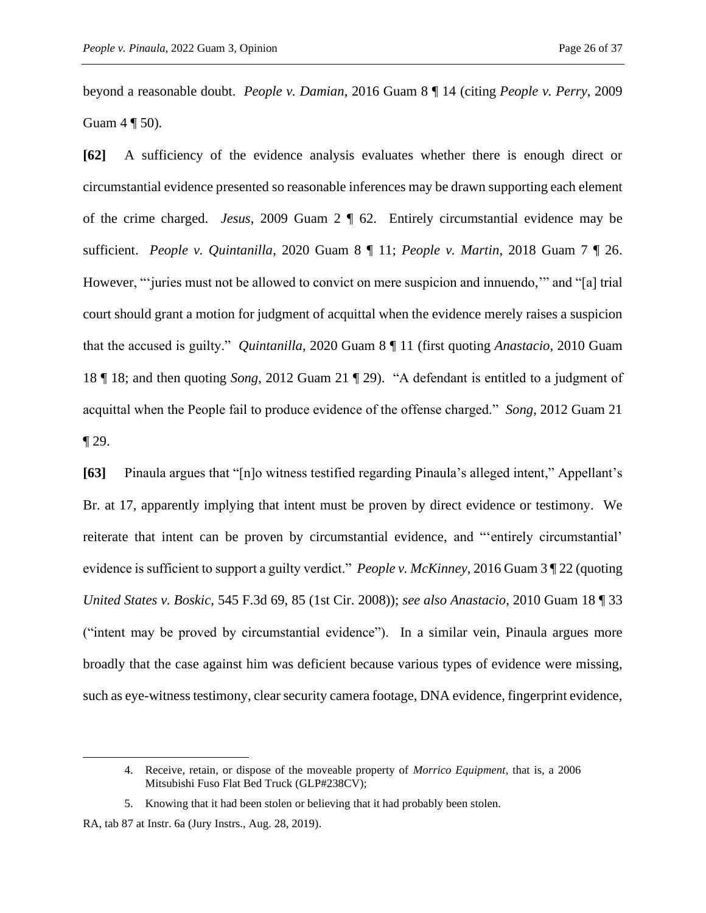beyond a reasonable doubt. *People v. Damian*, 2016 Guam 8 ¶ 14 (citing *People v. Perry*, 2009 Guam  $4 \sqrt{50}$ .

**[62]** A sufficiency of the evidence analysis evaluates whether there is enough direct or circumstantial evidence presented so reasonable inferences may be drawn supporting each element of the crime charged. *Jesus*, 2009 Guam 2 ¶ 62. Entirely circumstantial evidence may be sufficient. *People v. Quintanilla*, 2020 Guam 8 ¶ 11; *People v. Martin*, 2018 Guam 7 ¶ 26. However, "'juries must not be allowed to convict on mere suspicion and innuendo," and "[a] trial court should grant a motion for judgment of acquittal when the evidence merely raises a suspicion that the accused is guilty." *Quintanilla*, 2020 Guam 8 ¶ 11 (first quoting *Anastacio*, 2010 Guam 18 ¶ 18; and then quoting *Song*, 2012 Guam 21 ¶ 29). "A defendant is entitled to a judgment of acquittal when the People fail to produce evidence of the offense charged." *Song*, 2012 Guam 21  $\P$  29.

**[63]** Pinaula argues that "[n]o witness testified regarding Pinaula's alleged intent," Appellant's Br. at 17, apparently implying that intent must be proven by direct evidence or testimony. We reiterate that intent can be proven by circumstantial evidence, and "'entirely circumstantial' evidence is sufficient to support a guilty verdict." *People v. McKinney*, 2016 Guam 3 ¶ 22 (quoting *United States v. Boskic*, 545 F.3d 69, 85 (1st Cir. 2008)); *see also Anastacio*, 2010 Guam 18 ¶ 33 ("intent may be proved by circumstantial evidence"). In a similar vein, Pinaula argues more broadly that the case against him was deficient because various types of evidence were missing, such as eye-witness testimony, clear security camera footage, DNA evidence, fingerprint evidence,

<sup>4.</sup> Receive, retain, or dispose of the moveable property of *Morrico Equipment*, that is, a 2006 Mitsubishi Fuso Flat Bed Truck (GLP#238CV);

<sup>5.</sup> Knowing that it had been stolen or believing that it had probably been stolen.

RA, tab 87 at Instr. 6a (Jury Instrs., Aug. 28, 2019).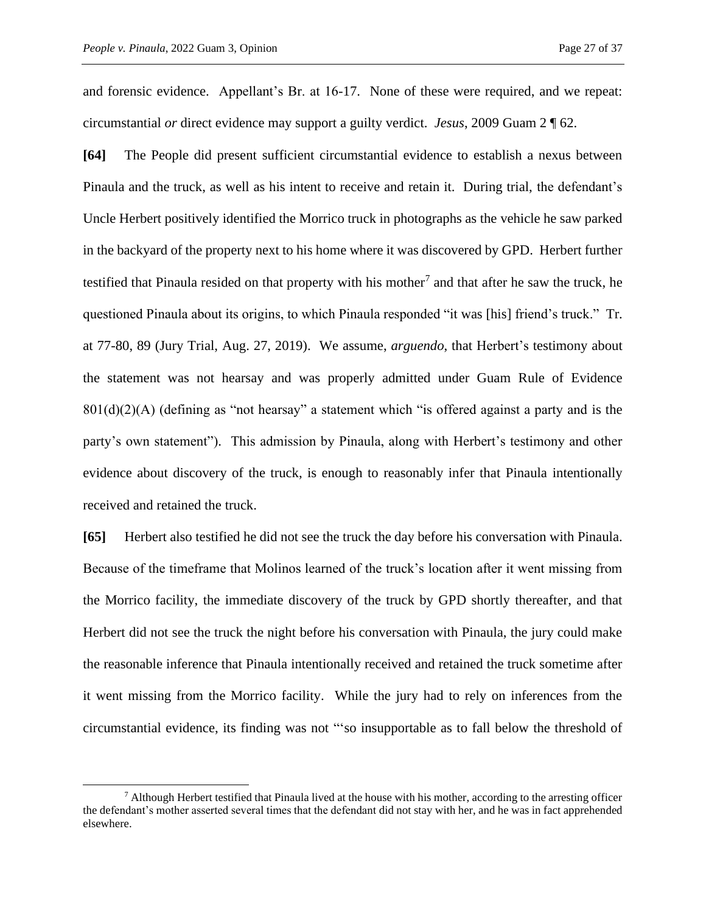and forensic evidence. Appellant's Br. at 16-17. None of these were required, and we repeat: circumstantial *or* direct evidence may support a guilty verdict. *Jesus*, 2009 Guam 2 ¶ 62.

**[64]** The People did present sufficient circumstantial evidence to establish a nexus between Pinaula and the truck, as well as his intent to receive and retain it. During trial, the defendant's Uncle Herbert positively identified the Morrico truck in photographs as the vehicle he saw parked in the backyard of the property next to his home where it was discovered by GPD. Herbert further testified that Pinaula resided on that property with his mother<sup>7</sup> and that after he saw the truck, he questioned Pinaula about its origins, to which Pinaula responded "it was [his] friend's truck." Tr. at 77-80, 89 (Jury Trial, Aug. 27, 2019). We assume, *arguendo*, that Herbert's testimony about the statement was not hearsay and was properly admitted under Guam Rule of Evidence  $801(d)(2)(A)$  (defining as "not hearsay" a statement which "is offered against a party and is the party's own statement"). This admission by Pinaula, along with Herbert's testimony and other evidence about discovery of the truck, is enough to reasonably infer that Pinaula intentionally received and retained the truck.

**[65]** Herbert also testified he did not see the truck the day before his conversation with Pinaula. Because of the timeframe that Molinos learned of the truck's location after it went missing from the Morrico facility, the immediate discovery of the truck by GPD shortly thereafter, and that Herbert did not see the truck the night before his conversation with Pinaula, the jury could make the reasonable inference that Pinaula intentionally received and retained the truck sometime after it went missing from the Morrico facility. While the jury had to rely on inferences from the circumstantial evidence, its finding was not "'so insupportable as to fall below the threshold of

 $7$  Although Herbert testified that Pinaula lived at the house with his mother, according to the arresting officer the defendant's mother asserted several times that the defendant did not stay with her, and he was in fact apprehended elsewhere.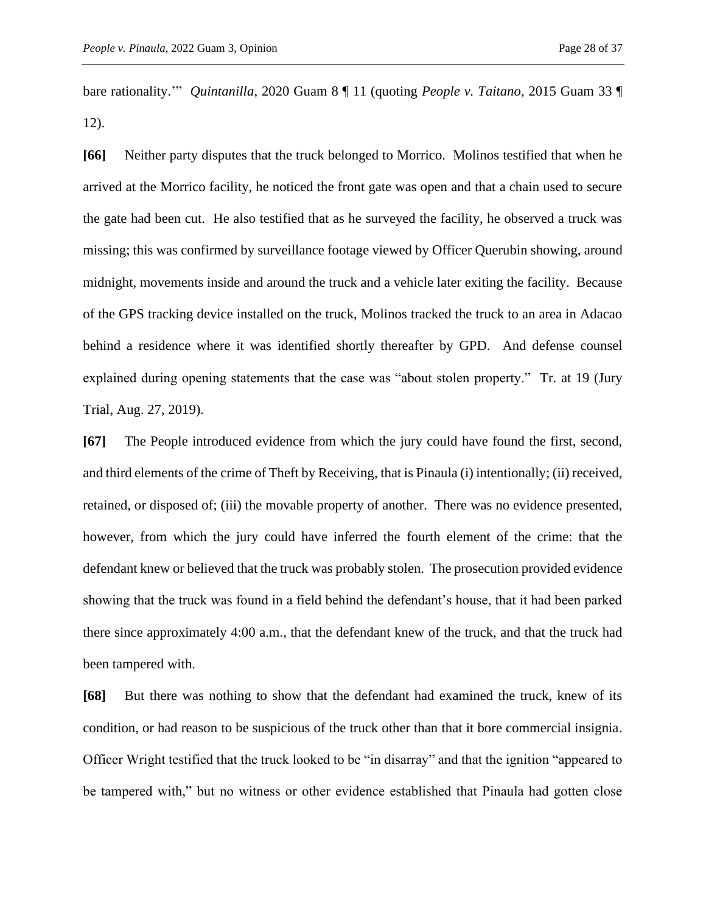bare rationality.'" *Quintanilla*, 2020 Guam 8 ¶ 11 (quoting *People v. Taitano*, 2015 Guam 33 ¶ 12).

**[66]** Neither party disputes that the truck belonged to Morrico. Molinos testified that when he arrived at the Morrico facility, he noticed the front gate was open and that a chain used to secure the gate had been cut. He also testified that as he surveyed the facility, he observed a truck was missing; this was confirmed by surveillance footage viewed by Officer Querubin showing, around midnight, movements inside and around the truck and a vehicle later exiting the facility. Because of the GPS tracking device installed on the truck, Molinos tracked the truck to an area in Adacao behind a residence where it was identified shortly thereafter by GPD. And defense counsel explained during opening statements that the case was "about stolen property." Tr. at 19 (Jury Trial, Aug. 27, 2019).

**[67]** The People introduced evidence from which the jury could have found the first, second, and third elements of the crime of Theft by Receiving, that is Pinaula (i) intentionally; (ii) received, retained, or disposed of; (iii) the movable property of another. There was no evidence presented, however, from which the jury could have inferred the fourth element of the crime: that the defendant knew or believed that the truck was probably stolen. The prosecution provided evidence showing that the truck was found in a field behind the defendant's house, that it had been parked there since approximately 4:00 a.m., that the defendant knew of the truck, and that the truck had been tampered with.

**[68]** But there was nothing to show that the defendant had examined the truck, knew of its condition, or had reason to be suspicious of the truck other than that it bore commercial insignia. Officer Wright testified that the truck looked to be "in disarray" and that the ignition "appeared to be tampered with," but no witness or other evidence established that Pinaula had gotten close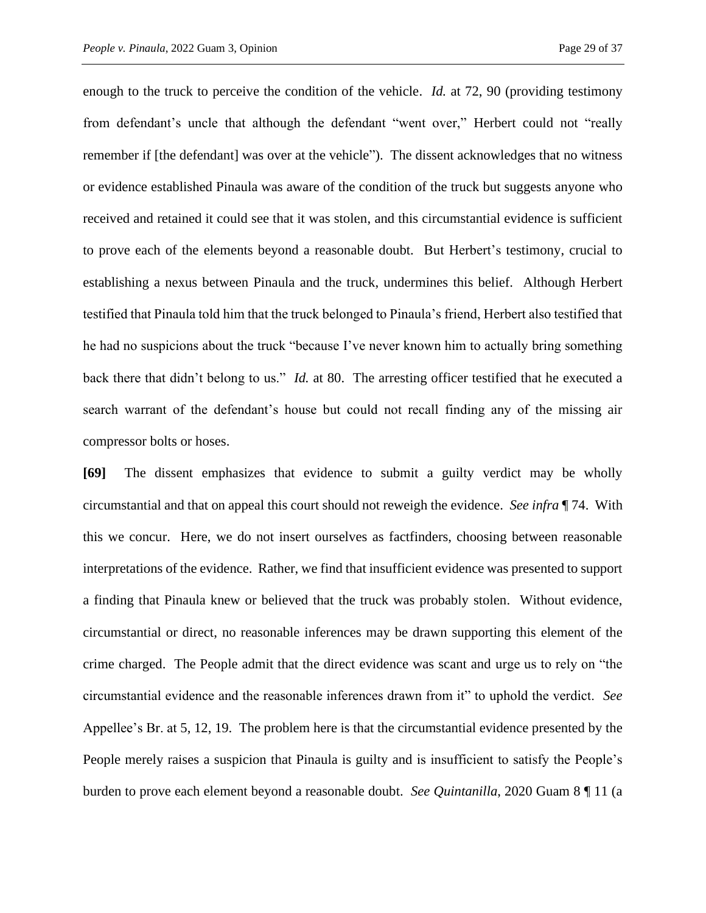enough to the truck to perceive the condition of the vehicle. *Id.* at 72, 90 (providing testimony from defendant's uncle that although the defendant "went over," Herbert could not "really remember if [the defendant] was over at the vehicle"). The dissent acknowledges that no witness or evidence established Pinaula was aware of the condition of the truck but suggests anyone who received and retained it could see that it was stolen, and this circumstantial evidence is sufficient to prove each of the elements beyond a reasonable doubt. But Herbert's testimony, crucial to establishing a nexus between Pinaula and the truck, undermines this belief. Although Herbert testified that Pinaula told him that the truck belonged to Pinaula's friend, Herbert also testified that he had no suspicions about the truck "because I've never known him to actually bring something back there that didn't belong to us." *Id.* at 80. The arresting officer testified that he executed a search warrant of the defendant's house but could not recall finding any of the missing air compressor bolts or hoses.

**[69]** The dissent emphasizes that evidence to submit a guilty verdict may be wholly circumstantial and that on appeal this court should not reweigh the evidence. *See infra* ¶ 74. With this we concur. Here, we do not insert ourselves as factfinders, choosing between reasonable interpretations of the evidence. Rather, we find that insufficient evidence was presented to support a finding that Pinaula knew or believed that the truck was probably stolen. Without evidence, circumstantial or direct, no reasonable inferences may be drawn supporting this element of the crime charged. The People admit that the direct evidence was scant and urge us to rely on "the circumstantial evidence and the reasonable inferences drawn from it" to uphold the verdict. *See*  Appellee's Br. at 5, 12, 19. The problem here is that the circumstantial evidence presented by the People merely raises a suspicion that Pinaula is guilty and is insufficient to satisfy the People's burden to prove each element beyond a reasonable doubt. *See Quintanilla*, 2020 Guam 8 ¶ 11 (a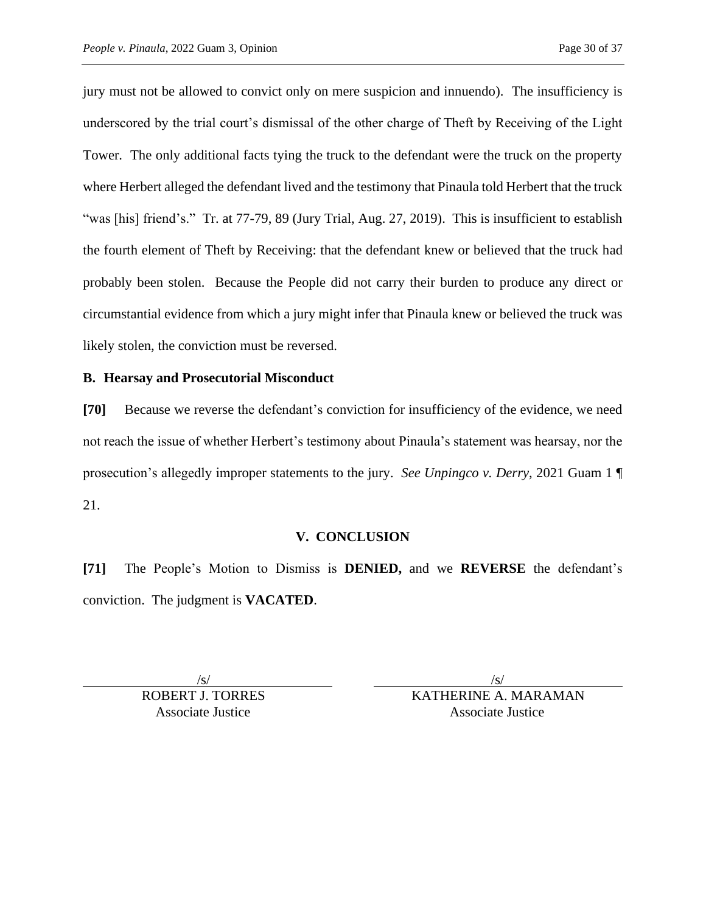jury must not be allowed to convict only on mere suspicion and innuendo). The insufficiency is underscored by the trial court's dismissal of the other charge of Theft by Receiving of the Light Tower. The only additional facts tying the truck to the defendant were the truck on the property where Herbert alleged the defendant lived and the testimony that Pinaula told Herbert that the truck "was [his] friend's." Tr. at 77-79, 89 (Jury Trial, Aug. 27, 2019). This is insufficient to establish the fourth element of Theft by Receiving: that the defendant knew or believed that the truck had probably been stolen. Because the People did not carry their burden to produce any direct or circumstantial evidence from which a jury might infer that Pinaula knew or believed the truck was likely stolen, the conviction must be reversed.

## **B. Hearsay and Prosecutorial Misconduct**

**[70]** Because we reverse the defendant's conviction for insufficiency of the evidence, we need not reach the issue of whether Herbert's testimony about Pinaula's statement was hearsay, nor the prosecution's allegedly improper statements to the jury. *See Unpingco v. Derry*, 2021 Guam 1 ¶ 21.

# **V. CONCLUSION**

**[71]** The People's Motion to Dismiss is **DENIED,** and we **REVERSE** the defendant's conviction. The judgment is **VACATED**.

 $\sqrt{s}$ /s/

ROBERT J. TORRES KATHERINE A. MARAMAN Associate Justice Associate Justice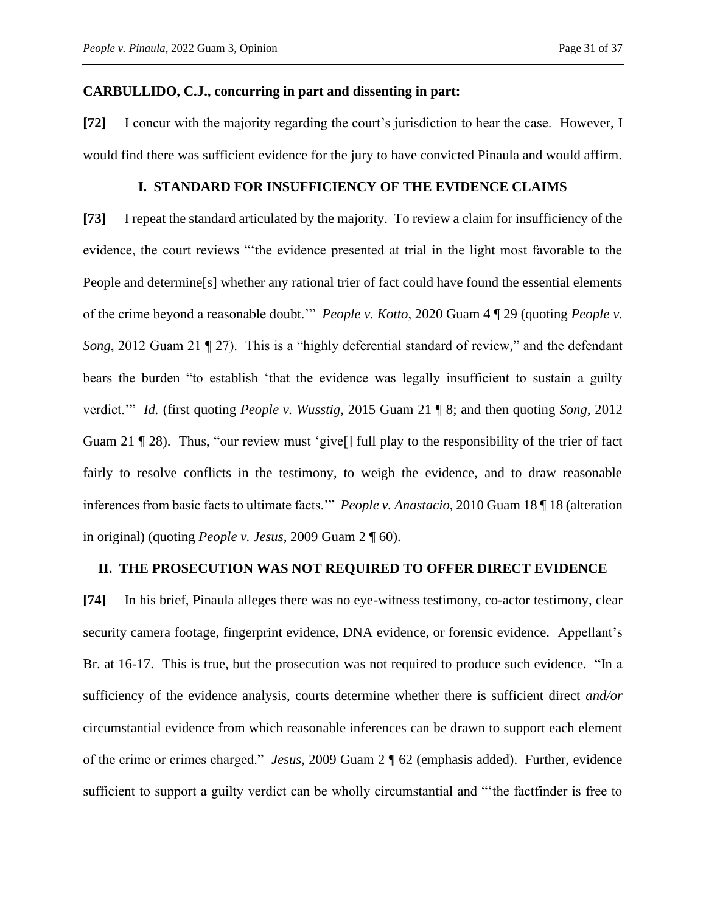### **CARBULLIDO, C.J., concurring in part and dissenting in part:**

**[72]** I concur with the majority regarding the court's jurisdiction to hear the case. However, I would find there was sufficient evidence for the jury to have convicted Pinaula and would affirm.

#### **I. STANDARD FOR INSUFFICIENCY OF THE EVIDENCE CLAIMS**

**[73]** I repeat the standard articulated by the majority. To review a claim for insufficiency of the evidence, the court reviews "'the evidence presented at trial in the light most favorable to the People and determine[s] whether any rational trier of fact could have found the essential elements of the crime beyond a reasonable doubt.'" *People v. Kotto*, 2020 Guam 4 ¶ 29 (quoting *People v. Song*, 2012 Guam 21 ¶ 27). This is a "highly deferential standard of review," and the defendant bears the burden "to establish 'that the evidence was legally insufficient to sustain a guilty verdict.'" *Id.* (first quoting *People v. Wusstig*, 2015 Guam 21 ¶ 8; and then quoting *Song*, 2012 Guam 21 ¶ 28). Thus, "our review must 'give[] full play to the responsibility of the trier of fact fairly to resolve conflicts in the testimony, to weigh the evidence, and to draw reasonable inferences from basic facts to ultimate facts.'" *People v. Anastacio*, 2010 Guam 18 ¶ 18 (alteration in original) (quoting *People v. Jesus*, 2009 Guam 2 ¶ 60).

#### **II. THE PROSECUTION WAS NOT REQUIRED TO OFFER DIRECT EVIDENCE**

**[74]** In his brief, Pinaula alleges there was no eye-witness testimony, co-actor testimony, clear security camera footage, fingerprint evidence, DNA evidence, or forensic evidence. Appellant's Br. at 16-17. This is true, but the prosecution was not required to produce such evidence. "In a sufficiency of the evidence analysis, courts determine whether there is sufficient direct *and/or* circumstantial evidence from which reasonable inferences can be drawn to support each element of the crime or crimes charged." *Jesus*, 2009 Guam 2 ¶ 62 (emphasis added). Further, evidence sufficient to support a guilty verdict can be wholly circumstantial and "'the factfinder is free to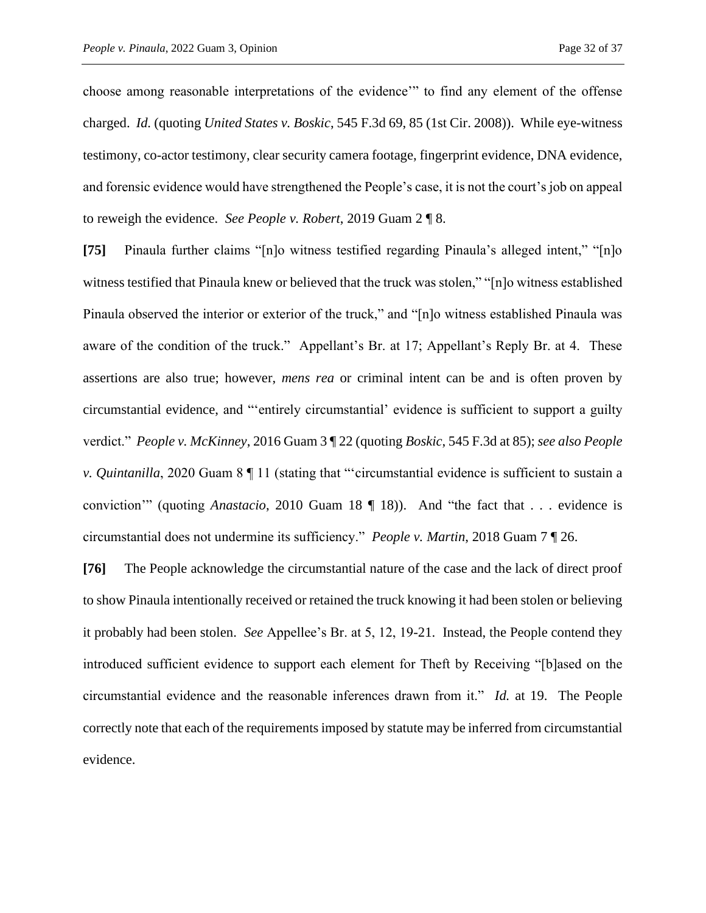choose among reasonable interpretations of the evidence'" to find any element of the offense charged. *Id.* (quoting *United States v. Boskic*, 545 F.3d 69, 85 (1st Cir. 2008)). While eye-witness testimony, co-actor testimony, clear security camera footage, fingerprint evidence, DNA evidence, and forensic evidence would have strengthened the People's case, it is not the court's job on appeal to reweigh the evidence. *See People v. Robert*, 2019 Guam 2 ¶ 8.

**[75]** Pinaula further claims "[n]o witness testified regarding Pinaula's alleged intent," "[n]o witness testified that Pinaula knew or believed that the truck was stolen," "[n]o witness established Pinaula observed the interior or exterior of the truck," and "[n]o witness established Pinaula was aware of the condition of the truck." Appellant's Br. at 17; Appellant's Reply Br. at 4. These assertions are also true; however, *mens rea* or criminal intent can be and is often proven by circumstantial evidence, and "'entirely circumstantial' evidence is sufficient to support a guilty verdict." *People v. McKinney*, 2016 Guam 3 ¶ 22 (quoting *Boskic*, 545 F.3d at 85); *see also People v. Quintanilla*, 2020 Guam 8 ¶ 11 (stating that "'circumstantial evidence is sufficient to sustain a conviction'" (quoting *Anastacio*, 2010 Guam 18 ¶ 18)). And "the fact that . . . evidence is circumstantial does not undermine its sufficiency." *People v. Martin*, 2018 Guam 7 ¶ 26.

**[76]** The People acknowledge the circumstantial nature of the case and the lack of direct proof to show Pinaula intentionally received or retained the truck knowing it had been stolen or believing it probably had been stolen. *See* Appellee's Br. at 5, 12, 19-21. Instead, the People contend they introduced sufficient evidence to support each element for Theft by Receiving "[b]ased on the circumstantial evidence and the reasonable inferences drawn from it." *Id.* at 19. The People correctly note that each of the requirements imposed by statute may be inferred from circumstantial evidence.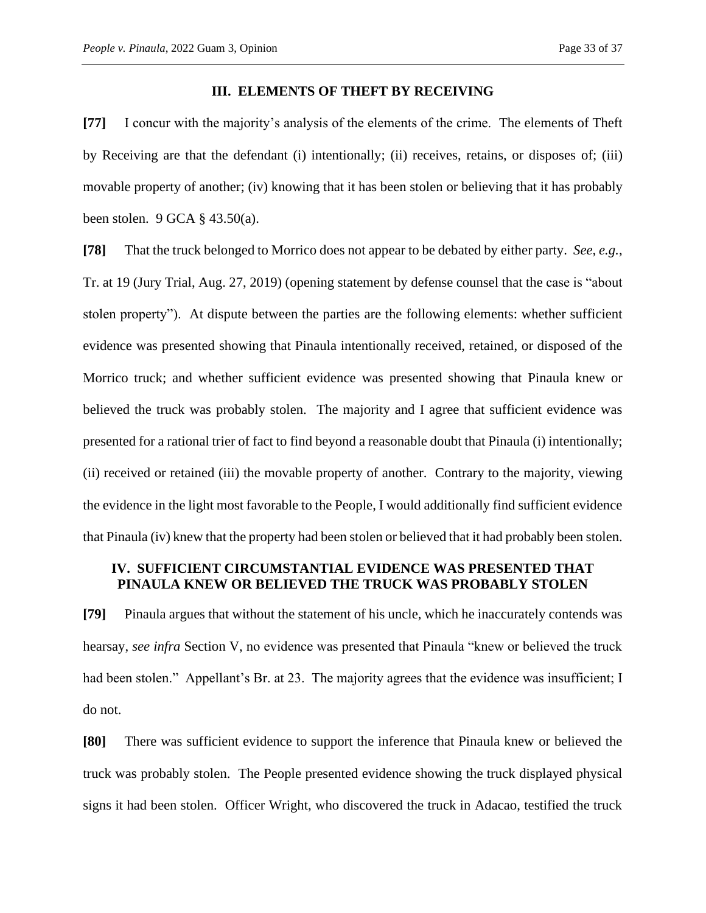#### **III. ELEMENTS OF THEFT BY RECEIVING**

**[77]** I concur with the majority's analysis of the elements of the crime. The elements of Theft by Receiving are that the defendant (i) intentionally; (ii) receives, retains, or disposes of; (iii) movable property of another; (iv) knowing that it has been stolen or believing that it has probably been stolen. 9 GCA § 43.50(a).

**[78]** That the truck belonged to Morrico does not appear to be debated by either party. *See, e.g.*, Tr. at 19 (Jury Trial, Aug. 27, 2019) (opening statement by defense counsel that the case is "about stolen property"). At dispute between the parties are the following elements: whether sufficient evidence was presented showing that Pinaula intentionally received, retained, or disposed of the Morrico truck; and whether sufficient evidence was presented showing that Pinaula knew or believed the truck was probably stolen. The majority and I agree that sufficient evidence was presented for a rational trier of fact to find beyond a reasonable doubt that Pinaula (i) intentionally; (ii) received or retained (iii) the movable property of another. Contrary to the majority, viewing the evidence in the light most favorable to the People, I would additionally find sufficient evidence that Pinaula (iv) knew that the property had been stolen or believed that it had probably been stolen.

### **IV. SUFFICIENT CIRCUMSTANTIAL EVIDENCE WAS PRESENTED THAT PINAULA KNEW OR BELIEVED THE TRUCK WAS PROBABLY STOLEN**

**[79]** Pinaula argues that without the statement of his uncle, which he inaccurately contends was hearsay, *see infra* Section V, no evidence was presented that Pinaula "knew or believed the truck had been stolen." Appellant's Br. at 23. The majority agrees that the evidence was insufficient; I do not.

**[80]** There was sufficient evidence to support the inference that Pinaula knew or believed the truck was probably stolen. The People presented evidence showing the truck displayed physical signs it had been stolen. Officer Wright, who discovered the truck in Adacao, testified the truck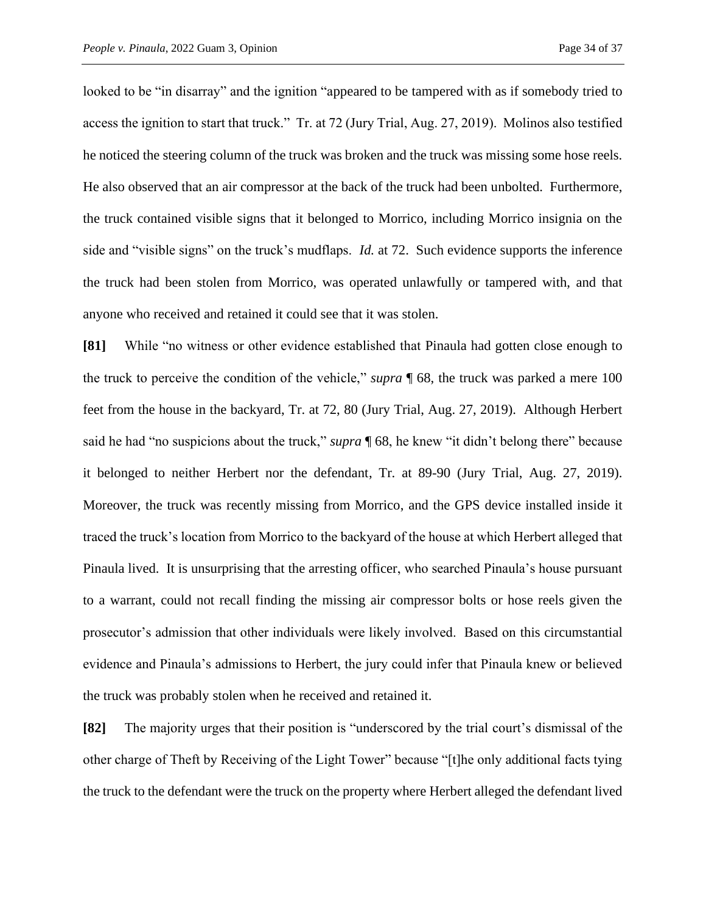looked to be "in disarray" and the ignition "appeared to be tampered with as if somebody tried to access the ignition to start that truck." Tr. at 72 (Jury Trial, Aug. 27, 2019). Molinos also testified he noticed the steering column of the truck was broken and the truck was missing some hose reels. He also observed that an air compressor at the back of the truck had been unbolted. Furthermore, the truck contained visible signs that it belonged to Morrico, including Morrico insignia on the side and "visible signs" on the truck's mudflaps. *Id.* at 72. Such evidence supports the inference the truck had been stolen from Morrico, was operated unlawfully or tampered with, and that anyone who received and retained it could see that it was stolen.

**[81]** While "no witness or other evidence established that Pinaula had gotten close enough to the truck to perceive the condition of the vehicle," *supra* ¶ 68, the truck was parked a mere 100 feet from the house in the backyard, Tr. at 72, 80 (Jury Trial, Aug. 27, 2019). Although Herbert said he had "no suspicions about the truck," *supra* ¶ 68, he knew "it didn't belong there" because it belonged to neither Herbert nor the defendant, Tr. at 89-90 (Jury Trial, Aug. 27, 2019). Moreover, the truck was recently missing from Morrico, and the GPS device installed inside it traced the truck's location from Morrico to the backyard of the house at which Herbert alleged that Pinaula lived. It is unsurprising that the arresting officer, who searched Pinaula's house pursuant to a warrant, could not recall finding the missing air compressor bolts or hose reels given the prosecutor's admission that other individuals were likely involved. Based on this circumstantial evidence and Pinaula's admissions to Herbert, the jury could infer that Pinaula knew or believed the truck was probably stolen when he received and retained it.

**[82]** The majority urges that their position is "underscored by the trial court's dismissal of the other charge of Theft by Receiving of the Light Tower" because "[t]he only additional facts tying the truck to the defendant were the truck on the property where Herbert alleged the defendant lived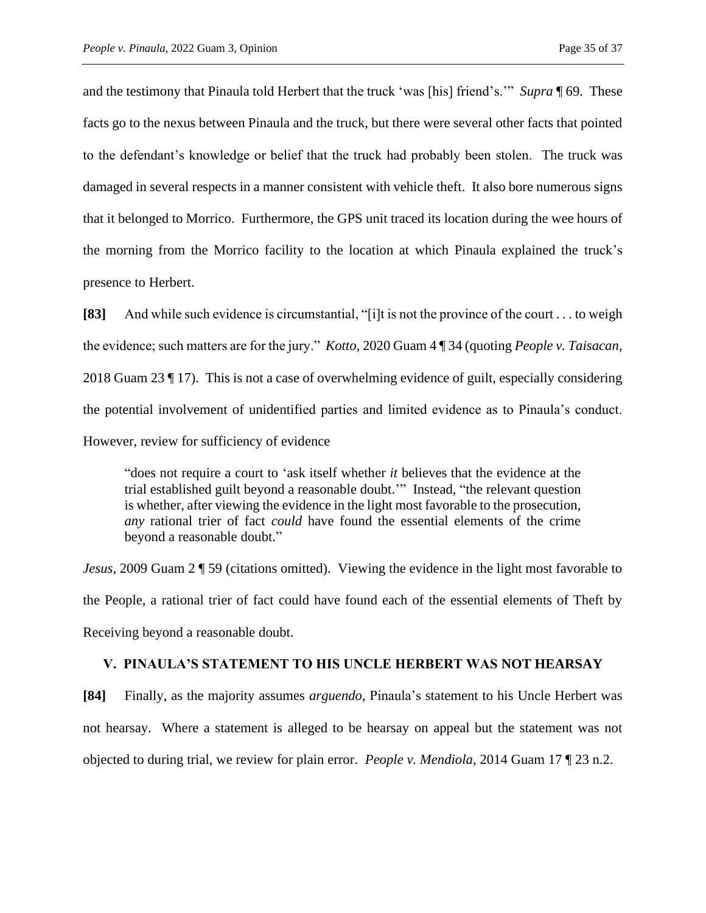and the testimony that Pinaula told Herbert that the truck 'was [his] friend's.'" *Supra* ¶ 69. These facts go to the nexus between Pinaula and the truck, but there were several other facts that pointed to the defendant's knowledge or belief that the truck had probably been stolen. The truck was damaged in several respects in a manner consistent with vehicle theft. It also bore numerous signs that it belonged to Morrico. Furthermore, the GPS unit traced its location during the wee hours of the morning from the Morrico facility to the location at which Pinaula explained the truck's presence to Herbert.

**[83]** And while such evidence is circumstantial, "[i]t is not the province of the court . . . to weigh the evidence; such matters are for the jury." *Kotto*, 2020 Guam 4 ¶ 34 (quoting *People v. Taisacan*, 2018 Guam 23 ¶ 17). This is not a case of overwhelming evidence of guilt, especially considering the potential involvement of unidentified parties and limited evidence as to Pinaula's conduct. However, review for sufficiency of evidence

"does not require a court to 'ask itself whether *it* believes that the evidence at the trial established guilt beyond a reasonable doubt.'" Instead, "the relevant question is whether, after viewing the evidence in the light most favorable to the prosecution, *any* rational trier of fact *could* have found the essential elements of the crime beyond a reasonable doubt."

*Jesus*, 2009 Guam 2  $\sqrt{5}$  59 (citations omitted). Viewing the evidence in the light most favorable to the People, a rational trier of fact could have found each of the essential elements of Theft by Receiving beyond a reasonable doubt.

#### **V. PINAULA'S STATEMENT TO HIS UNCLE HERBERT WAS NOT HEARSAY**

**[84]** Finally, as the majority assumes *arguendo*, Pinaula's statement to his Uncle Herbert was not hearsay. Where a statement is alleged to be hearsay on appeal but the statement was not objected to during trial, we review for plain error. *People v. Mendiola*, 2014 Guam 17 ¶ 23 n.2.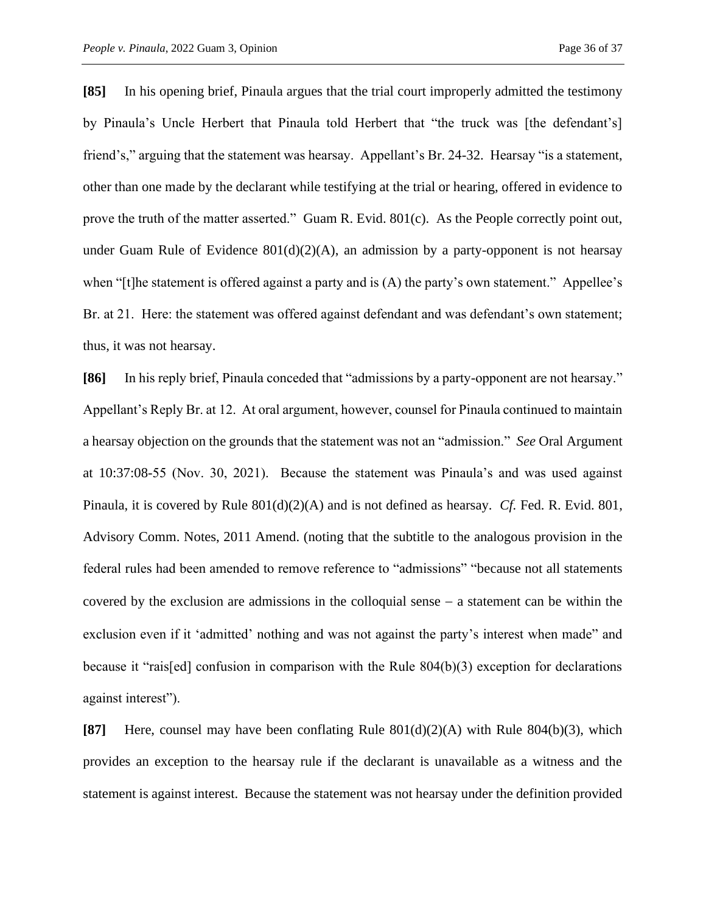**[85]** In his opening brief, Pinaula argues that the trial court improperly admitted the testimony by Pinaula's Uncle Herbert that Pinaula told Herbert that "the truck was [the defendant's] friend's," arguing that the statement was hearsay. Appellant's Br. 24-32. Hearsay "is a statement, other than one made by the declarant while testifying at the trial or hearing, offered in evidence to prove the truth of the matter asserted." Guam R. Evid. 801(c).As the People correctly point out, under Guam Rule of Evidence  $801(d)(2)(A)$ , an admission by a party-opponent is not hearsay when "[t]he statement is offered against a party and is (A) the party's own statement." Appellee's Br. at 21. Here: the statement was offered against defendant and was defendant's own statement; thus, it was not hearsay.

**[86]** In his reply brief, Pinaula conceded that "admissions by a party-opponent are not hearsay." Appellant's Reply Br. at 12. At oral argument, however, counsel for Pinaula continued to maintain a hearsay objection on the grounds that the statement was not an "admission." *See* Oral Argument at 10:37:08-55 (Nov. 30, 2021). Because the statement was Pinaula's and was used against Pinaula, it is covered by Rule 801(d)(2)(A) and is not defined as hearsay. *Cf.* Fed. R. Evid. 801, Advisory Comm. Notes, 2011 Amend. (noting that the subtitle to the analogous provision in the federal rules had been amended to remove reference to "admissions" "because not all statements covered by the exclusion are admissions in the colloquial sense − a statement can be within the exclusion even if it 'admitted' nothing and was not against the party's interest when made" and because it "rais[ed] confusion in comparison with the Rule 804(b)(3) exception for declarations against interest").

**[87]** Here, counsel may have been conflating Rule 801(d)(2)(A) with Rule 804(b)(3), which provides an exception to the hearsay rule if the declarant is unavailable as a witness and the statement is against interest. Because the statement was not hearsay under the definition provided